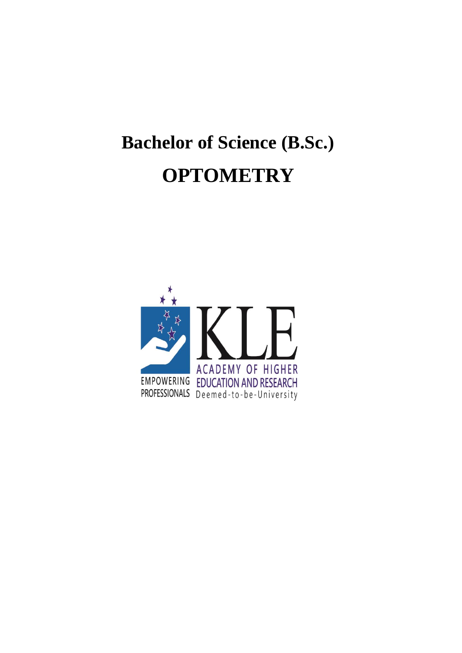# **Bachelor of Science (B.Sc.) OPTOMETRY**

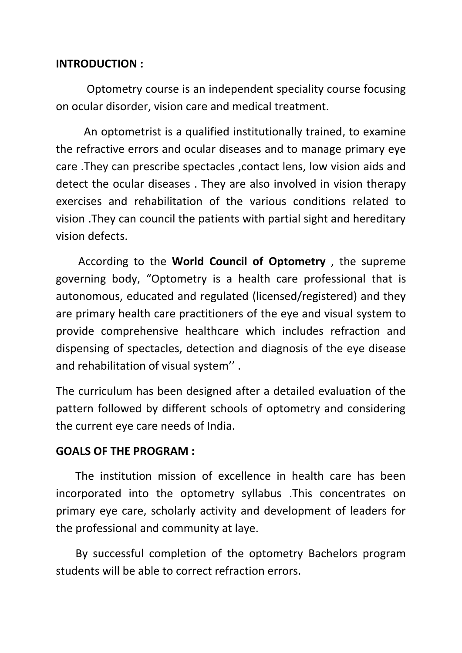## **INTRODUCTION :**

 Optometry course is an independent speciality course focusing on ocular disorder, vision care and medical treatment.

 An optometrist is a qualified institutionally trained, to examine the refractive errors and ocular diseases and to manage primary eye care .They can prescribe spectacles ,contact lens, low vision aids and detect the ocular diseases . They are also involved in vision therapy exercises and rehabilitation of the various conditions related to vision .They can council the patients with partial sight and hereditary vision defects.

 According to the **World Council of Optometry** , the supreme governing body, "Optometry is a health care professional that is autonomous, educated and regulated (licensed/registered) and they are primary health care practitioners of the eye and visual system to provide comprehensive healthcare which includes refraction and dispensing of spectacles, detection and diagnosis of the eye disease and rehabilitation of visual system'' .

The curriculum has been designed after a detailed evaluation of the pattern followed by different schools of optometry and considering the current eye care needs of India.

## **GOALS OF THE PROGRAM :**

The institution mission of excellence in health care has been incorporated into the optometry syllabus .This concentrates on primary eye care, scholarly activity and development of leaders for the professional and community at laye.

 By successful completion of the optometry Bachelors program students will be able to correct refraction errors.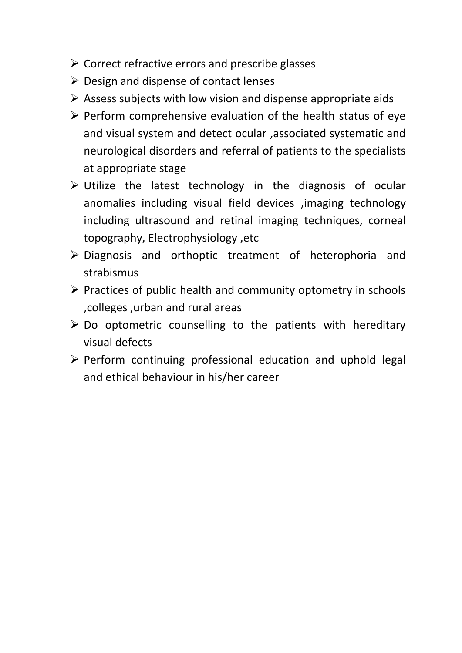- $\triangleright$  Correct refractive errors and prescribe glasses
- $\triangleright$  Design and dispense of contact lenses
- $\triangleright$  Assess subjects with low vision and dispense appropriate aids
- $\triangleright$  Perform comprehensive evaluation of the health status of eye and visual system and detect ocular ,associated systematic and neurological disorders and referral of patients to the specialists at appropriate stage
- Utilize the latest technology in the diagnosis of ocular anomalies including visual field devices ,imaging technology including ultrasound and retinal imaging techniques, corneal topography, Electrophysiology ,etc
- $\triangleright$  Diagnosis and orthoptic treatment of heterophoria and strabismus
- $\triangleright$  Practices of public health and community optometry in schools ,colleges ,urban and rural areas
- $\triangleright$  Do optometric counselling to the patients with hereditary visual defects
- $\triangleright$  Perform continuing professional education and uphold legal and ethical behaviour in his/her career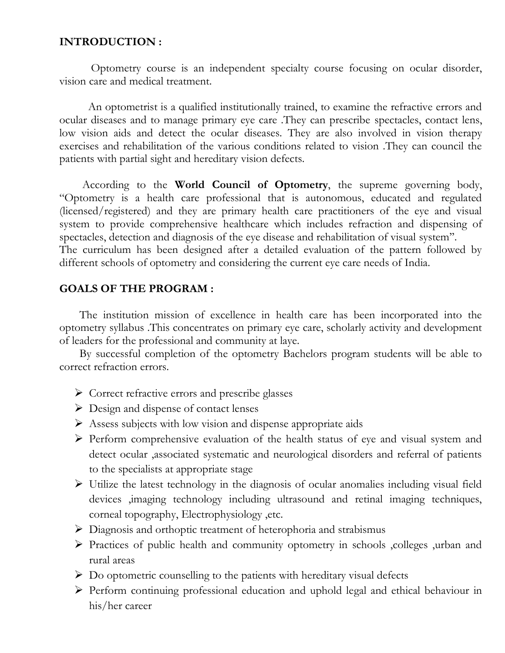#### **INTRODUCTION :**

 Optometry course is an independent specialty course focusing on ocular disorder, vision care and medical treatment.

 An optometrist is a qualified institutionally trained, to examine the refractive errors and ocular diseases and to manage primary eye care .They can prescribe spectacles, contact lens, low vision aids and detect the ocular diseases. They are also involved in vision therapy exercises and rehabilitation of the various conditions related to vision .They can council the patients with partial sight and hereditary vision defects.

 According to the **World Council of Optometry**, the supreme governing body, "Optometry is a health care professional that is autonomous, educated and regulated (licensed/registered) and they are primary health care practitioners of the eye and visual system to provide comprehensive healthcare which includes refraction and dispensing of spectacles, detection and diagnosis of the eye disease and rehabilitation of visual system''. The curriculum has been designed after a detailed evaluation of the pattern followed by different schools of optometry and considering the current eye care needs of India.

#### **GOALS OF THE PROGRAM :**

The institution mission of excellence in health care has been incorporated into the optometry syllabus .This concentrates on primary eye care, scholarly activity and development of leaders for the professional and community at laye.

 By successful completion of the optometry Bachelors program students will be able to correct refraction errors.

- Correct refractive errors and prescribe glasses
- Design and dispense of contact lenses
- Assess subjects with low vision and dispense appropriate aids
- Perform comprehensive evaluation of the health status of eye and visual system and detect ocular ,associated systematic and neurological disorders and referral of patients to the specialists at appropriate stage
- Utilize the latest technology in the diagnosis of ocular anomalies including visual field devices ,imaging technology including ultrasound and retinal imaging techniques, corneal topography, Electrophysiology ,etc.
- Diagnosis and orthoptic treatment of heterophoria and strabismus
- Practices of public health and community optometry in schools ,colleges ,urban and rural areas
- $\triangleright$  Do optometric counselling to the patients with hereditary visual defects
- Perform continuing professional education and uphold legal and ethical behaviour in his/her career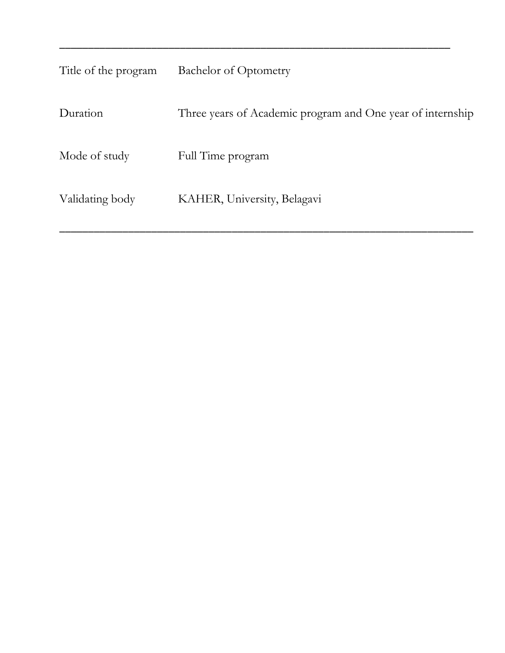| Title of the program | <b>Bachelor of Optometry</b>                               |
|----------------------|------------------------------------------------------------|
| Duration             | Three years of Academic program and One year of internship |
| Mode of study        | Full Time program                                          |
| Validating body      | KAHER, University, Belagavi                                |

\_\_\_\_\_\_\_\_\_\_\_\_\_\_\_\_\_\_\_\_\_\_\_\_\_\_\_\_\_\_\_\_\_\_\_\_\_\_\_\_\_\_\_\_\_\_\_\_\_\_\_\_\_\_\_\_\_\_\_\_\_\_\_\_\_\_\_\_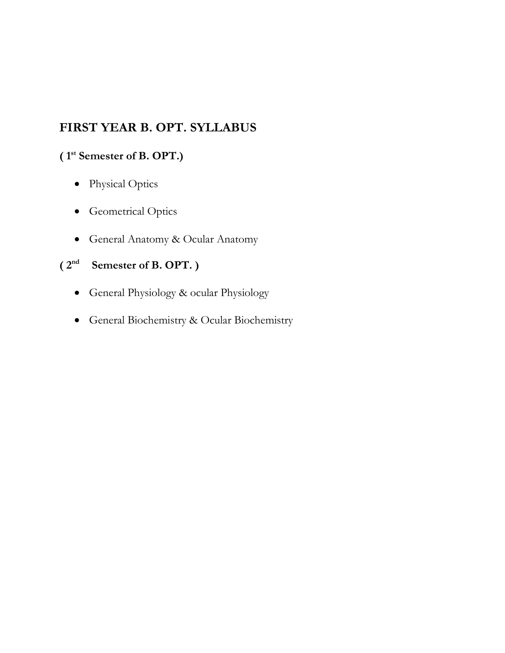## **FIRST YEAR B. OPT. SYLLABUS**

## **( 1 st Semester of B. OPT.)**

- Physical Optics
- Geometrical Optics
- General Anatomy & Ocular Anatomy

## **( 2nd Semester of B. OPT. )**

- General Physiology & ocular Physiology
- General Biochemistry & Ocular Biochemistry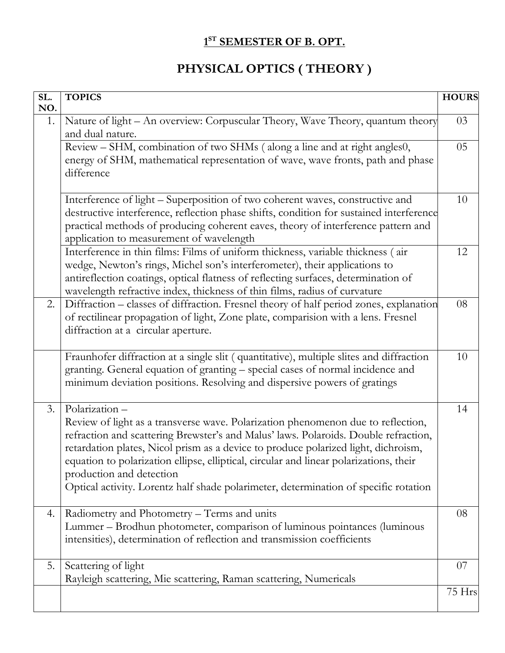## **1 ST SEMESTER OF B. OPT.**

## **PHYSICAL OPTICS ( THEORY )**

| SL.<br>NO. | <b>TOPICS</b>                                                                                                                                                                                                                                                                                                                                                                                                                                                                                | <b>HOURS</b> |
|------------|----------------------------------------------------------------------------------------------------------------------------------------------------------------------------------------------------------------------------------------------------------------------------------------------------------------------------------------------------------------------------------------------------------------------------------------------------------------------------------------------|--------------|
| 1.         | Nature of light - An overview: Corpuscular Theory, Wave Theory, quantum theory<br>and dual nature.                                                                                                                                                                                                                                                                                                                                                                                           | 03           |
|            | Review – SHM, combination of two SHMs (along a line and at right angles0,<br>energy of SHM, mathematical representation of wave, wave fronts, path and phase<br>difference                                                                                                                                                                                                                                                                                                                   | 05           |
|            | Interference of light - Superposition of two coherent waves, constructive and<br>destructive interference, reflection phase shifts, condition for sustained interference<br>practical methods of producing coherent eaves, theory of interference pattern and<br>application to measurement of wavelength                                                                                                                                                                                    | 10           |
|            | Interference in thin films: Films of uniform thickness, variable thickness (air<br>wedge, Newton's rings, Michel son's interferometer), their applications to<br>antireflection coatings, optical flatness of reflecting surfaces, determination of<br>wavelength refractive index, thickness of thin films, radius of curvature                                                                                                                                                             | 12           |
| 2.         | Diffraction - classes of diffraction. Fresnel theory of half period zones, explanation<br>of rectilinear propagation of light, Zone plate, comparision with a lens. Fresnel<br>diffraction at a circular aperture.                                                                                                                                                                                                                                                                           | 08           |
|            | Fraunhofer diffraction at a single slit (quantitative), multiple slites and diffraction<br>granting. General equation of granting - special cases of normal incidence and<br>minimum deviation positions. Resolving and dispersive powers of gratings                                                                                                                                                                                                                                        | 10           |
| 3.         | Polarization-<br>Review of light as a transverse wave. Polarization phenomenon due to reflection,<br>refraction and scattering Brewster's and Malus' laws. Polaroids. Double refraction,<br>retardation plates, Nicol prism as a device to produce polarized light, dichroism,<br>equation to polarization ellipse, elliptical, circular and linear polarizations, their<br>production and detection<br>Optical activity. Lorentz half shade polarimeter, determination of specific rotation | 14           |
| 4.         | Radiometry and Photometry - Terms and units<br>Lummer - Brodhun photometer, comparison of luminous pointances (luminous<br>intensities), determination of reflection and transmission coefficients                                                                                                                                                                                                                                                                                           | 08           |
| 5.         | Scattering of light<br>Rayleigh scattering, Mie scattering, Raman scattering, Numericals                                                                                                                                                                                                                                                                                                                                                                                                     | 07           |
|            |                                                                                                                                                                                                                                                                                                                                                                                                                                                                                              | 75 Hrs       |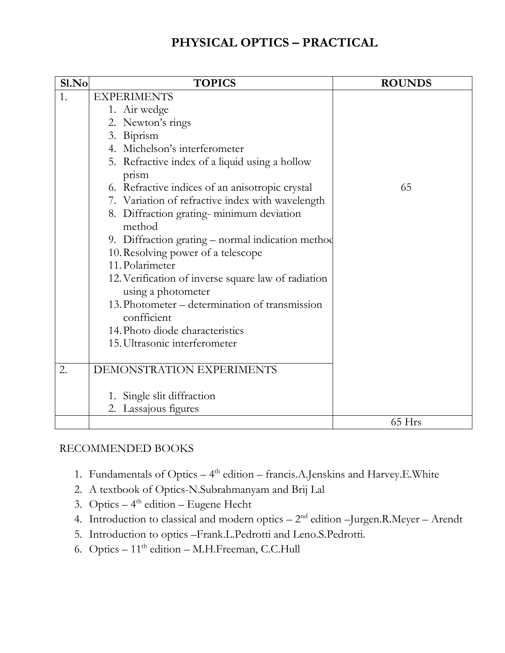## **PHYSICAL OPTICS – PRACTICAL**

| Sl.No | <b>TOPICS</b>                                                             | <b>ROUNDS</b> |
|-------|---------------------------------------------------------------------------|---------------|
| 1.    | <b>EXPERIMENTS</b>                                                        |               |
|       | 1. Air wedge                                                              |               |
|       | 2. Newton's rings                                                         |               |
|       | 3. Biprism                                                                |               |
|       | 4. Michelson's interferometer                                             |               |
|       | 5. Refractive index of a liquid using a hollow<br>prism                   |               |
|       | 6. Refractive indices of an anisotropic crystal                           | 65            |
|       | 7. Variation of refractive index with wavelength                          |               |
|       | 8. Diffraction grating-minimum deviation<br>method                        |               |
|       | 9. Diffraction grating – normal indication method                         |               |
|       | 10. Resolving power of a telescope                                        |               |
|       | 11. Polarimeter                                                           |               |
|       | 12. Verification of inverse square law of radiation<br>using a photometer |               |
|       | 13. Photometer – determination of transmission<br>confficient             |               |
|       | 14. Photo diode characteristics                                           |               |
|       | 15. Ultrasonic interferometer                                             |               |
| 2.    | DEMONSTRATION EXPERIMENTS                                                 |               |
|       | 1. Single slit diffraction                                                |               |
|       | 2. Lassajous figures                                                      |               |
|       |                                                                           | 65 Hrs        |

## RECOMMENDED BOOKS

- 1. Fundamentals of Optics  $-4$ <sup>th</sup> edition francis.A.Jenskins and Harvey.E.White
- 2. A textbook of Optics-N.Subrahmanyam and Brij Lal
- 3. Optics  $-4$ <sup>th</sup> edition  $-$  Eugene Hecht
- 4. Introduction to classical and modern optics  $-2<sup>nd</sup>$  edition  $-Jurgen.R.Meyer Arendt$
- 5. Introduction to optics –Frank.L.Pedrotti and Leno.S.Pedrotti.
- 6. Optics 11<sup>th</sup> edition M.H.Freeman, C.C.Hull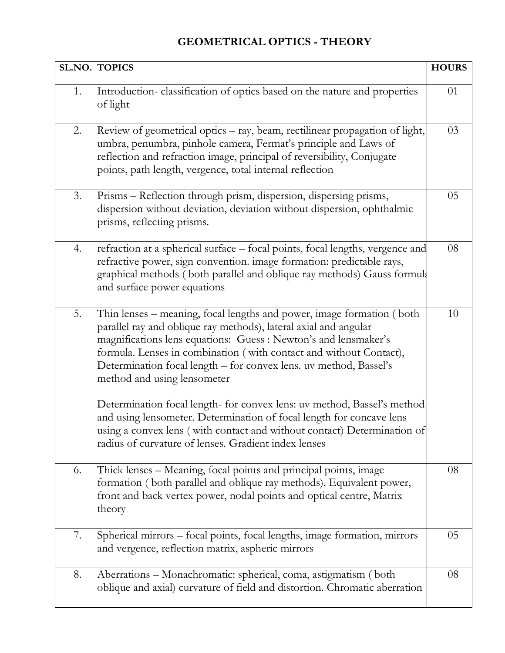## **GEOMETRICAL OPTICS - THEORY**

|    | <b>SL.NO. TOPICS</b>                                                                                                                                                                                                                                                                                                                                                                   | <b>HOURS</b> |
|----|----------------------------------------------------------------------------------------------------------------------------------------------------------------------------------------------------------------------------------------------------------------------------------------------------------------------------------------------------------------------------------------|--------------|
| 1. | Introduction-classification of optics based on the nature and properties<br>of light                                                                                                                                                                                                                                                                                                   | 01           |
| 2. | Review of geometrical optics – ray, beam, rectilinear propagation of light,<br>umbra, penumbra, pinhole camera, Fermat's principle and Laws of<br>reflection and refraction image, principal of reversibility, Conjugate<br>points, path length, vergence, total internal reflection                                                                                                   | 03           |
| 3. | Prisms – Reflection through prism, dispersion, dispersing prisms,<br>dispersion without deviation, deviation without dispersion, ophthalmic<br>prisms, reflecting prisms.                                                                                                                                                                                                              | 05           |
| 4. | refraction at a spherical surface - focal points, focal lengths, vergence and<br>refractive power, sign convention. image formation: predictable rays,<br>graphical methods (both parallel and oblique ray methods) Gauss formula<br>and surface power equations                                                                                                                       | 08           |
| 5. | Thin lenses – meaning, focal lengths and power, image formation (both<br>parallel ray and oblique ray methods), lateral axial and angular<br>magnifications lens equations: Guess : Newton's and lensmaker's<br>formula. Lenses in combination (with contact and without Contact),<br>Determination focal length – for convex lens. uv method, Bassel's<br>method and using lensometer | 10           |
|    | Determination focal length- for convex lens: uv method, Bassel's method<br>and using lensometer. Determination of focal length for concave lens<br>using a convex lens (with contact and without contact) Determination of<br>radius of curvature of lenses. Gradient index lenses                                                                                                     |              |
| 6. | Thick lenses – Meaning, focal points and principal points, image<br>formation (both parallel and oblique ray methods). Equivalent power,<br>front and back vertex power, nodal points and optical centre, Matrix<br>theory                                                                                                                                                             | 08           |
| 7. | Spherical mirrors – focal points, focal lengths, image formation, mirrors<br>and vergence, reflection matrix, aspheric mirrors                                                                                                                                                                                                                                                         | 05           |
| 8. | Aberrations – Monachromatic: spherical, coma, astigmatism (both<br>oblique and axial) curvature of field and distortion. Chromatic aberration                                                                                                                                                                                                                                          | 08           |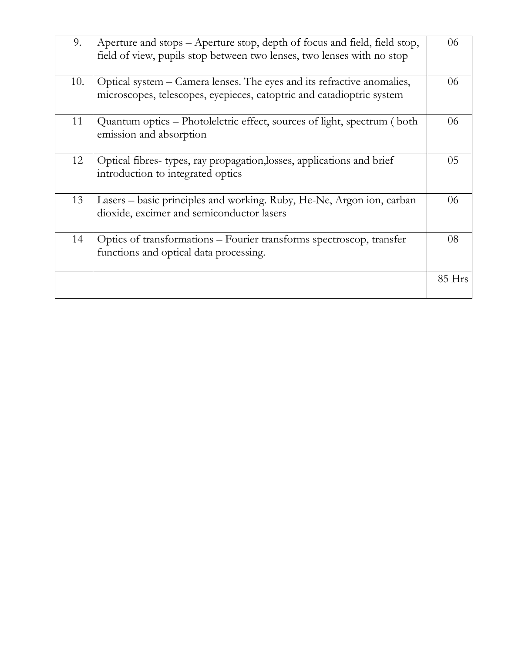| 9.  | Aperture and stops – Aperture stop, depth of focus and field, field stop,<br>field of view, pupils stop between two lenses, two lenses with no stop | 06       |
|-----|-----------------------------------------------------------------------------------------------------------------------------------------------------|----------|
| 10. | Optical system – Camera lenses. The eyes and its refractive anomalies,<br>microscopes, telescopes, eyepieces, catoptric and catadioptric system     | 06       |
| 11  | Quantum optics – Photolelctric effect, sources of light, spectrum (both<br>emission and absorption                                                  | 06       |
| 12  | Optical fibres-types, ray propagation, losses, applications and brief<br>introduction to integrated optics                                          | 05       |
| 13  | Lasers - basic principles and working. Ruby, He-Ne, Argon ion, carban<br>dioxide, excimer and semiconductor lasers                                  | 06       |
| 14  | Optics of transformations – Fourier transforms spectroscop, transfer<br>functions and optical data processing.                                      | 08       |
|     |                                                                                                                                                     | $85$ Hrs |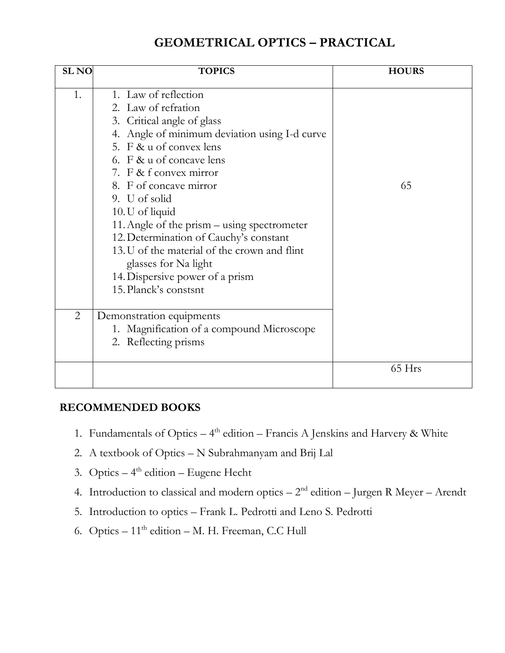## **GEOMETRICAL OPTICS – PRACTICAL**

| <b>SL NO</b>   | <b>TOPICS</b>                                                                                                                                                                                                                                                                                                                                                                                                                                                                                          | <b>HOURS</b> |
|----------------|--------------------------------------------------------------------------------------------------------------------------------------------------------------------------------------------------------------------------------------------------------------------------------------------------------------------------------------------------------------------------------------------------------------------------------------------------------------------------------------------------------|--------------|
| 1.             | 1. Law of reflection<br>2. Law of refration<br>3. Critical angle of glass<br>4. Angle of minimum deviation using I-d curve<br>5. F & u of convex lens<br>6. F & u of concave lens<br>7. F & f convex mirror<br>8. F of concave mirror<br>9. U of solid<br>10. U of liquid<br>11. Angle of the prism - using spectrometer<br>12. Determination of Cauchy's constant<br>13. U of the material of the crown and flint<br>glasses for Na light<br>14. Dispersive power of a prism<br>15. Planck's constsnt | 65           |
| $\overline{2}$ | Demonstration equipments<br>1. Magnification of a compound Microscope<br>2. Reflecting prisms                                                                                                                                                                                                                                                                                                                                                                                                          |              |
|                |                                                                                                                                                                                                                                                                                                                                                                                                                                                                                                        | 65 Hrs       |

### **RECOMMENDED BOOKS**

- 1. Fundamentals of Optics  $-4<sup>th</sup>$  edition  $-$  Francis A Jenskins and Harvery & White
- 2. A textbook of Optics N Subrahmanyam and Brij Lal
- 3. Optics  $-4$ <sup>th</sup> edition  $-$  Eugene Hecht
- 4. Introduction to classical and modern optics  $-2<sup>nd</sup>$  edition  $-$  Jurgen R Meyer  $-$  Arendt
- 5. Introduction to optics Frank L. Pedrotti and Leno S. Pedrotti
- 6. Optics  $-11<sup>th</sup>$  edition  $-$  M. H. Freeman, C.C Hull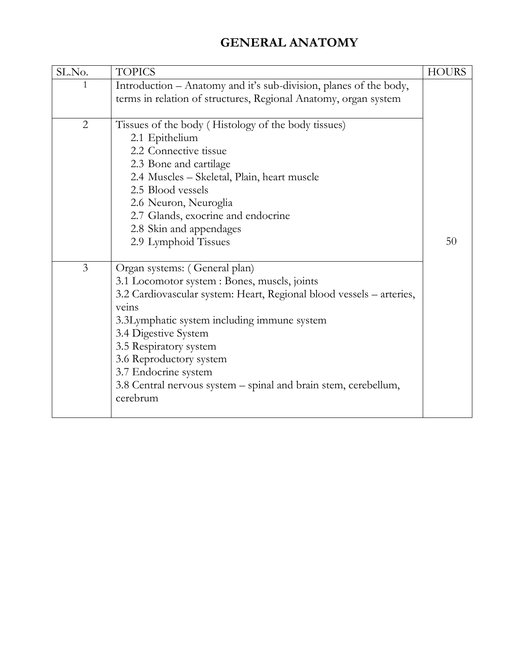## **GENERAL ANATOMY**

| SL.No.         | <b>TOPICS</b>                                                                                                                                                                                                                                                                                                                                                                                     | <b>HOURS</b> |
|----------------|---------------------------------------------------------------------------------------------------------------------------------------------------------------------------------------------------------------------------------------------------------------------------------------------------------------------------------------------------------------------------------------------------|--------------|
| 1              | Introduction - Anatomy and it's sub-division, planes of the body,<br>terms in relation of structures, Regional Anatomy, organ system                                                                                                                                                                                                                                                              |              |
| $\overline{2}$ | Tissues of the body (Histology of the body tissues)<br>2.1 Epithelium<br>2.2 Connective tissue<br>2.3 Bone and cartilage<br>2.4 Muscles - Skeletal, Plain, heart muscle<br>2.5 Blood vessels<br>2.6 Neuron, Neuroglia<br>2.7 Glands, exocrine and endocrine<br>2.8 Skin and appendages<br>2.9 Lymphoid Tissues                                                                                    | 50           |
| $\overline{3}$ | Organ systems: (General plan)<br>3.1 Locomotor system : Bones, muscls, joints<br>3.2 Cardiovascular system: Heart, Regional blood vessels - arteries,<br>veins<br>3.3Lymphatic system including immune system<br>3.4 Digestive System<br>3.5 Respiratory system<br>3.6 Reproductory system<br>3.7 Endocrine system<br>3.8 Central nervous system – spinal and brain stem, cerebellum,<br>cerebrum |              |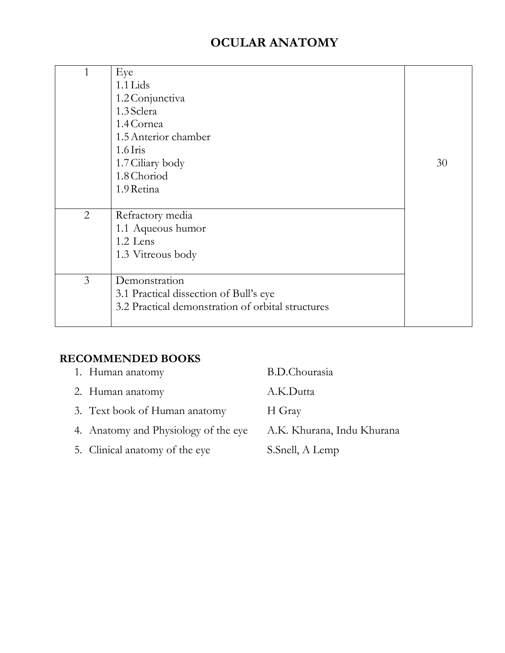## **OCULAR ANATOMY**

| $\mathbf{1}$   | Eye                                               |    |
|----------------|---------------------------------------------------|----|
|                | $1.1$ Lids                                        |    |
|                | 1.2 Conjunctiva                                   |    |
|                | 1.3 Sclera                                        |    |
|                | 1.4 Cornea                                        |    |
|                | 1.5 Anterior chamber                              |    |
|                | $1.6$ Iris                                        |    |
|                | 1.7 Ciliary body                                  | 30 |
|                | 1.8 Choriod                                       |    |
|                | 1.9 Retina                                        |    |
|                |                                                   |    |
| 2              | Refractory media                                  |    |
|                | 1.1 Aqueous humor                                 |    |
|                | 1.2 Lens                                          |    |
|                | 1.3 Vitreous body                                 |    |
|                |                                                   |    |
| $\overline{3}$ | Demonstration                                     |    |
|                | 3.1 Practical dissection of Bull's eye            |    |
|                | 3.2 Practical demonstration of orbital structures |    |
|                |                                                   |    |

## **RECOMMENDED BOOKS**

| 1. Human anatomy                     | <b>B.D.Chourasia</b>       |
|--------------------------------------|----------------------------|
| 2. Human anatomy                     | A.K.Dutta                  |
| 3. Text book of Human anatomy        | H Gray                     |
| 4. Anatomy and Physiology of the eye | A.K. Khurana, Indu Khurana |
| 5. Clinical anatomy of the eye       | S.Snell, A Lemp            |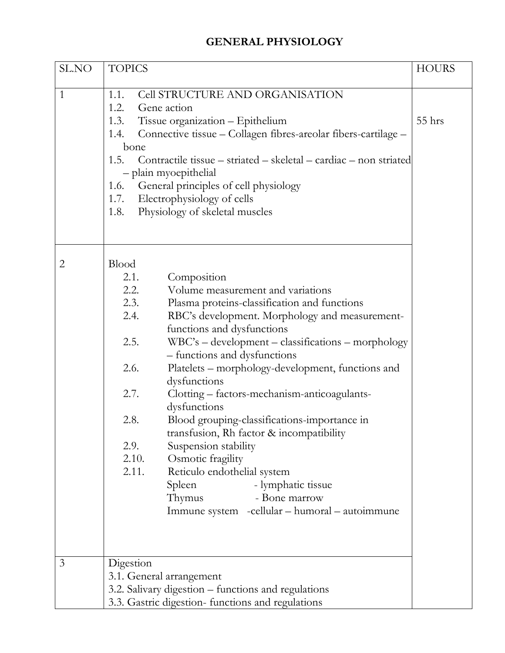## **GENERAL PHYSIOLOGY**

| SL.NO          | <b>TOPICS</b>                                                                                                                                                                                                                                                                                                                                                                                                                                                                                                                                                                                                                                                                                                                                                                                              | <b>HOURS</b> |
|----------------|------------------------------------------------------------------------------------------------------------------------------------------------------------------------------------------------------------------------------------------------------------------------------------------------------------------------------------------------------------------------------------------------------------------------------------------------------------------------------------------------------------------------------------------------------------------------------------------------------------------------------------------------------------------------------------------------------------------------------------------------------------------------------------------------------------|--------------|
| $\mathbf{1}$   | <b>Cell STRUCTURE AND ORGANISATION</b><br>1.1.<br>1.2.<br>Gene action<br>Tissue organization - Epithelium<br>1.3.<br>Connective tissue - Collagen fibres-areolar fibers-cartilage -<br>1.4.<br>bone<br>1.5.<br>Contractile tissue – striated – skeletal – cardiac – non striated<br>- plain myoepithelial<br>General principles of cell physiology<br>1.6.<br>Electrophysiology of cells<br>1.7.<br>Physiology of skeletal muscles<br>1.8.                                                                                                                                                                                                                                                                                                                                                                 | 55 hrs       |
| $\overline{2}$ | <b>Blood</b><br>Composition<br>2.1.<br>2.2.<br>Volume measurement and variations<br>2.3.<br>Plasma proteins-classification and functions<br>2.4.<br>RBC's development. Morphology and measurement-<br>functions and dysfunctions<br>2.5.<br>WBC's – development – classifications – morphology<br>- functions and dysfunctions<br>Platelets – morphology-development, functions and<br>2.6.<br>dysfunctions<br>2.7.<br>Clotting - factors-mechanism-anticoagulants-<br>dysfunctions<br>2.8.<br>Blood grouping-classifications-importance in<br>transfusion, Rh factor & incompatibility<br>Suspension stability<br>2.9.<br>Osmotic fragility<br>2.10.<br>2.11.<br>Reticulo endothelial system<br>- lymphatic tissue<br>Spleen<br>Thymus<br>- Bone marrow<br>Immune system -cellular - humoral - autoimmune |              |
| 3              | Digestion<br>3.1. General arrangement<br>3.2. Salivary digestion – functions and regulations<br>3.3. Gastric digestion-functions and regulations                                                                                                                                                                                                                                                                                                                                                                                                                                                                                                                                                                                                                                                           |              |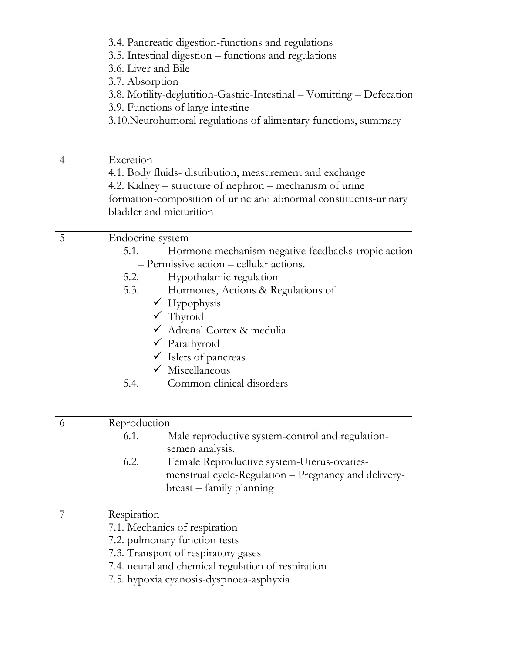|   | 3.4. Pancreatic digestion-functions and regulations<br>3.5. Intestinal digestion – functions and regulations<br>3.6. Liver and Bile<br>3.7. Absorption<br>3.8. Motility-deglutition-Gastric-Intestinal - Vomitting - Defecation<br>3.9. Functions of large intestine<br>3.10. Neurohumoral regulations of alimentary functions, summary                                                                            |  |
|---|--------------------------------------------------------------------------------------------------------------------------------------------------------------------------------------------------------------------------------------------------------------------------------------------------------------------------------------------------------------------------------------------------------------------|--|
|   |                                                                                                                                                                                                                                                                                                                                                                                                                    |  |
| 4 | Excretion<br>4.1. Body fluids-distribution, measurement and exchange<br>4.2. Kidney – structure of nephron – mechanism of urine<br>formation-composition of urine and abnormal constituents-urinary<br>bladder and micturition                                                                                                                                                                                     |  |
| 5 | Endocrine system<br>5.1.<br>Hormone mechanism-negative feedbacks-tropic action<br>- Permissive action - cellular actions.<br>5.2.<br>Hypothalamic regulation<br>5.3.<br>Hormones, Actions & Regulations of<br>$\checkmark$ Hypophysis<br>$\checkmark$ Thyroid<br>√ Adrenal Cortex & medulia<br>$\checkmark$ Parathyroid<br>V Islets of pancreas<br>$\checkmark$ Miscellaneous<br>Common clinical disorders<br>5.4. |  |
| 6 | Reproduction<br>6.1.<br>Male reproductive system-control and regulation-<br>semen analysis.<br>Female Reproductive system-Uterus-ovaries-<br>6.2.<br>menstrual cycle-Regulation - Pregnancy and delivery-<br>breast – family planning                                                                                                                                                                              |  |
| 7 | Respiration<br>7.1. Mechanics of respiration<br>7.2. pulmonary function tests<br>7.3. Transport of respiratory gases<br>7.4. neural and chemical regulation of respiration<br>7.5. hypoxia cyanosis-dyspnoea-asphyxia                                                                                                                                                                                              |  |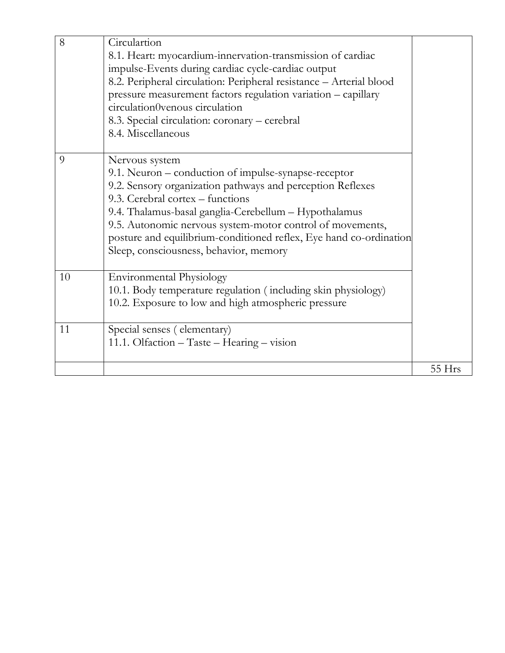| 8  | Circulartion<br>8.1. Heart: myocardium-innervation-transmission of cardiac<br>impulse-Events during cardiac cycle-cardiac output<br>8.2. Peripheral circulation: Peripheral resistance - Arterial blood<br>pressure measurement factors regulation variation - capillary<br>circulation0venous circulation<br>8.3. Special circulation: coronary – cerebral<br>8.4. Miscellaneous                              |        |
|----|----------------------------------------------------------------------------------------------------------------------------------------------------------------------------------------------------------------------------------------------------------------------------------------------------------------------------------------------------------------------------------------------------------------|--------|
| 9  | Nervous system<br>9.1. Neuron – conduction of impulse-synapse-receptor<br>9.2. Sensory organization pathways and perception Reflexes<br>9.3. Cerebral cortex - functions<br>9.4. Thalamus-basal ganglia-Cerebellum - Hypothalamus<br>9.5. Autonomic nervous system-motor control of movements,<br>posture and equilibrium-conditioned reflex, Eye hand co-ordination<br>Sleep, consciousness, behavior, memory |        |
| 10 | <b>Environmental Physiology</b><br>10.1. Body temperature regulation (including skin physiology)<br>10.2. Exposure to low and high atmospheric pressure                                                                                                                                                                                                                                                        |        |
| 11 | Special senses (elementary)<br>11.1. Olfaction - Taste - Hearing - vision                                                                                                                                                                                                                                                                                                                                      |        |
|    |                                                                                                                                                                                                                                                                                                                                                                                                                | 55 Hrs |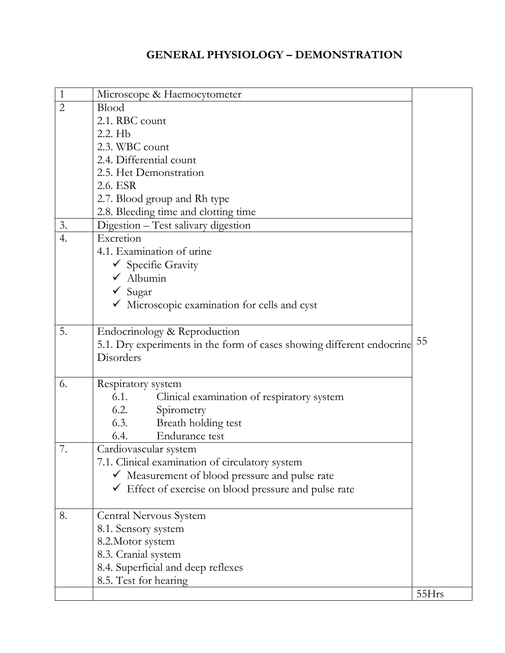## **GENERAL PHYSIOLOGY – DEMONSTRATION**

| $\mathbf{1}$   | Microscope & Haemocytometer                                           |       |
|----------------|-----------------------------------------------------------------------|-------|
| $\overline{2}$ | Blood                                                                 |       |
|                | 2.1. RBC count                                                        |       |
|                | 2.2. Hb                                                               |       |
|                | 2.3. WBC count                                                        |       |
|                | 2.4. Differential count                                               |       |
|                | 2.5. Het Demonstration                                                |       |
|                | 2.6. ESR                                                              |       |
|                | 2.7. Blood group and Rh type                                          |       |
|                | 2.8. Bleeding time and clotting time                                  |       |
| 3.             | Digestion - Test salivary digestion                                   |       |
| 4.             | Excretion                                                             |       |
|                | 4.1. Examination of urine                                             |       |
|                | ✔ Specifie Gravity                                                    |       |
|                | $\checkmark$ Albumin                                                  |       |
|                | $\checkmark$ Sugar                                                    |       |
|                | $\checkmark$ Microscopic examination for cells and cyst               |       |
|                |                                                                       |       |
| 5.             | Endocrinology & Reproduction                                          |       |
|                | 5.1. Dry experiments in the form of cases showing different endocrine | 55    |
|                | Disorders                                                             |       |
|                |                                                                       |       |
| 6.             | Respiratory system                                                    |       |
|                | 6.1.<br>Clinical examination of respiratory system                    |       |
|                | 6.2.<br>Spirometry                                                    |       |
|                | 6.3.<br>Breath holding test                                           |       |
|                | Endurance test<br>6.4.                                                |       |
| 7.             | Cardiovascular system                                                 |       |
|                | 7.1. Clinical examination of circulatory system                       |       |
|                | ✔ Measurement of blood pressure and pulse rate                        |       |
|                | $\checkmark$ Effect of exercise on blood pressure and pulse rate      |       |
|                |                                                                       |       |
| 8.             | Central Nervous System                                                |       |
|                | 8.1. Sensory system                                                   |       |
|                | 8.2. Motor system                                                     |       |
|                | 8.3. Cranial system                                                   |       |
|                | 8.4. Superficial and deep reflexes                                    |       |
|                | 8.5. Test for hearing                                                 |       |
|                |                                                                       | 55Hrs |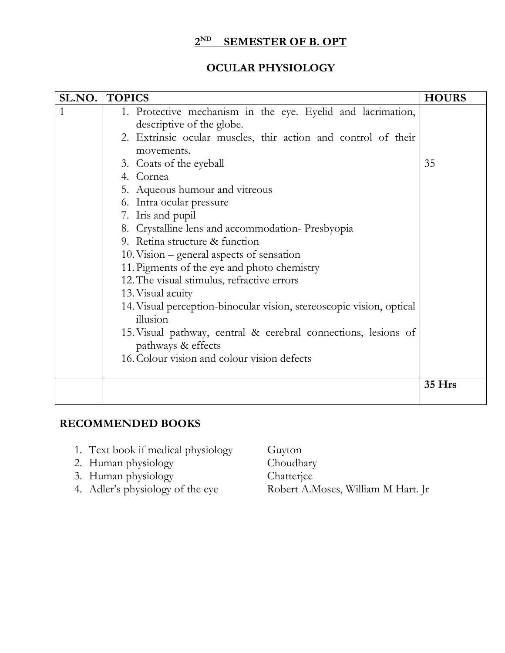#### **2 SEMESTER OF B. OPT**

### **OCULAR PHYSIOLOGY**

| SL.NO. | <b>TOPICS</b>                                                                        | <b>HOURS</b> |
|--------|--------------------------------------------------------------------------------------|--------------|
|        | 1. Protective mechanism in the eye. Eyelid and lacrimation,                          |              |
|        | descriptive of the globe.                                                            |              |
|        | 2. Extrinsic ocular muscles, thir action and control of their                        |              |
|        | movements.                                                                           |              |
|        | 3. Coats of the eyeball                                                              | 35           |
|        | 4. Cornea                                                                            |              |
|        | 5. Aqueous humour and vitreous                                                       |              |
|        | 6. Intra ocular pressure                                                             |              |
|        | 7. Iris and pupil                                                                    |              |
|        | 8. Crystalline lens and accommodation-Presbyopia                                     |              |
|        | 9. Retina structure & function                                                       |              |
|        | 10. Vision – general aspects of sensation                                            |              |
|        | 11. Pigments of the eye and photo chemistry                                          |              |
|        | 12. The visual stimulus, refractive errors                                           |              |
|        | 13. Visual acuity                                                                    |              |
|        | 14. Visual perception-binocular vision, stereoscopic vision, optical                 |              |
|        | illusion                                                                             |              |
|        | 15. Visual pathway, central & cerebral connections, lesions of<br>pathways & effects |              |
|        | 16. Colour vision and colour vision defects                                          |              |
|        |                                                                                      |              |
|        |                                                                                      | 35 Hrs       |
|        |                                                                                      |              |

### **RECOMMENDED BOOKS**

- 1. Text book if medical physiology Guyton
- 2. Human physiology Choudhary
- 3. Human physiology Chatterjee
- 
- 4. Adler's physiology of the eye Robert A.Moses, William M Hart. Jr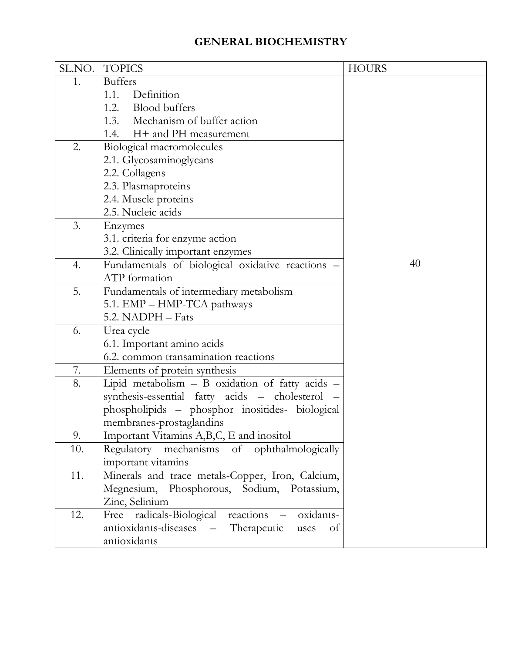## **GENERAL BIOCHEMISTRY**

|     | SL.NO.   TOPICS                                      | <b>HOURS</b> |
|-----|------------------------------------------------------|--------------|
| 1.  | <b>Buffers</b>                                       |              |
|     | 1.1.<br>Definition                                   |              |
|     | 1.2. Blood buffers                                   |              |
|     | 1.3.<br>Mechanism of buffer action                   |              |
|     | 1.4. H + and PH measurement                          |              |
| 2.  | Biological macromolecules                            |              |
|     | 2.1. Glycosaminoglycans                              |              |
|     | 2.2. Collagens                                       |              |
|     | 2.3. Plasmaproteins                                  |              |
|     | 2.4. Muscle proteins                                 |              |
|     | 2.5. Nucleic acids                                   |              |
| 3.  | Enzymes                                              |              |
|     | 3.1. criteria for enzyme action                      |              |
|     | 3.2. Clinically important enzymes                    |              |
| 4.  | Fundamentals of biological oxidative reactions -     | 40           |
|     | ATP formation                                        |              |
| 5.  | Fundamentals of intermediary metabolism              |              |
|     | 5.1. EMP - HMP-TCA pathways                          |              |
|     | 5.2. NADPH - Fats                                    |              |
| 6.  | Urea cycle                                           |              |
|     | 6.1. Important amino acids                           |              |
|     | 6.2. common transamination reactions                 |              |
| 7.  | Elements of protein synthesis                        |              |
| 8.  | Lipid metabolism - B oxidation of fatty acids -      |              |
|     | synthesis-essential fatty acids - cholesterol -      |              |
|     | phospholipids - phosphor inositides- biological      |              |
|     | membranes-prostaglandins                             |              |
| 9.  | Important Vitamins A,B,C, E and inositol             |              |
| 10. | Regulatory mechanisms of ophthalmologically          |              |
|     | important vitamins                                   |              |
| 11. | Minerals and trace metals-Copper, Iron, Calcium,     |              |
|     | Megnesium, Phosphorous, Sodium, Potassium,           |              |
|     | Zinc, Selinium                                       |              |
| 12. | Free radicals-Biological reactions<br>oxidants-      |              |
|     | Therapeutic<br>antioxidants-diseases –<br>uses<br>of |              |
|     | antioxidants                                         |              |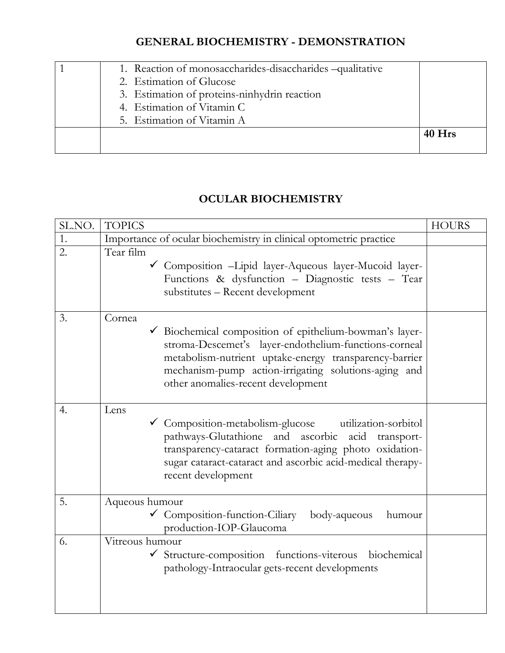## **GENERAL BIOCHEMISTRY - DEMONSTRATION**

| 1. Reaction of monosaccharides-disaccharides-qualitative<br>2. Estimation of Glucose<br>3. Estimation of proteins-ninhydrin reaction<br>4. Estimation of Vitamin C |          |
|--------------------------------------------------------------------------------------------------------------------------------------------------------------------|----------|
| 5. Estimation of Vitamin A                                                                                                                                         |          |
|                                                                                                                                                                    | $40$ Hrs |

## **OCULAR BIOCHEMISTRY**

| SL.NO.           | <b>TOPICS</b>                                                                                                                                                                                                                                                                    | <b>HOURS</b> |
|------------------|----------------------------------------------------------------------------------------------------------------------------------------------------------------------------------------------------------------------------------------------------------------------------------|--------------|
| 1.               | Importance of ocular biochemistry in clinical optometric practice                                                                                                                                                                                                                |              |
| $\overline{2}$ . | Tear film<br>Composition - Lipid layer-Aqueous layer-Mucoid layer-<br>Functions & dysfunction - Diagnostic tests - Tear<br>substitutes - Recent development                                                                                                                      |              |
| 3.               | Cornea<br>Biochemical composition of epithelium-bowman's layer-<br>stroma-Descemet's layer-endothelium-functions-corneal<br>metabolism-nutrient uptake-energy transparency-barrier<br>mechanism-pump action-irrigating solutions-aging and<br>other anomalies-recent development |              |
| 4.               | Lens<br>└ Composition-metabolism-glucose utilization-sorbitol<br>pathways-Glutathione and ascorbic acid transport-<br>transparency-cataract formation-aging photo oxidation-<br>sugar cataract-cataract and ascorbic acid-medical therapy-<br>recent development                 |              |
| 5.               | Aqueous humour<br>$\checkmark$ Composition-function-Ciliary<br>body-aqueous<br>humour<br>production-IOP-Glaucoma                                                                                                                                                                 |              |
| 6.               | Vitreous humour<br>✔ Structure-composition functions-viterous biochemical<br>pathology-Intraocular gets-recent developments                                                                                                                                                      |              |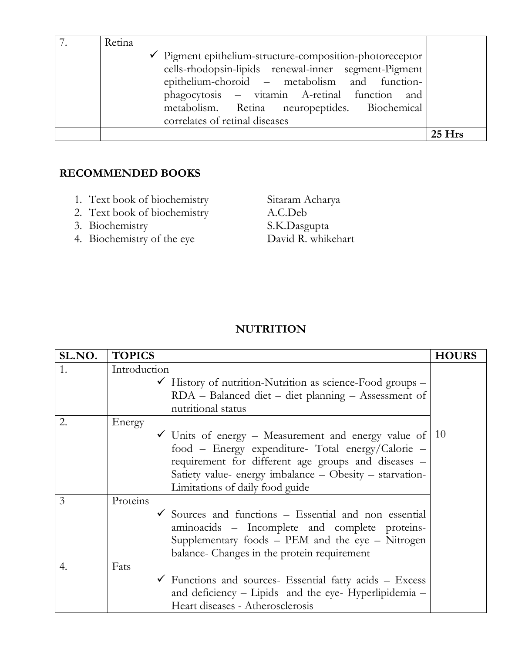| Retina                                                                                                                                                                                                                                                                                                           |          |
|------------------------------------------------------------------------------------------------------------------------------------------------------------------------------------------------------------------------------------------------------------------------------------------------------------------|----------|
| $\checkmark$ Pigment epithelium-structure-composition-photoreceptor<br>cells-rhodopsin-lipids renewal-inner segment-Pigment<br>epithelium-choroid – metabolism and function-<br>phagocytosis – vitamin A-retinal function and<br>metabolism. Retina neuropeptides. Biochemical<br>correlates of retinal diseases |          |
|                                                                                                                                                                                                                                                                                                                  | $25$ Hrs |

- 1. Text book of biochemistry Sitaram Acharya
- 2. Text book of biochemistry A.C.Deb
- 
- 4. Biochemistry of the eye

3. Biochemistry<br>
4. Biochemistry of the eve<br>
David R. whikehart

## **NUTRITION**

| SL.NO. | <b>TOPICS</b>                                                        | <b>HOURS</b> |
|--------|----------------------------------------------------------------------|--------------|
| 1.     | Introduction                                                         |              |
|        | $\checkmark$ History of nutrition-Nutrition as science-Food groups – |              |
|        | RDA - Balanced diet - diet planning - Assessment of                  |              |
|        | nutritional status                                                   |              |
| 2.     | Energy                                                               |              |
|        | $\checkmark$ Units of energy – Measurement and energy value of       | 10           |
|        | food - Energy expenditure- Total energy/Calorie -                    |              |
|        | requirement for different age groups and diseases -                  |              |
|        | Satiety value- energy imbalance - Obesity - starvation-              |              |
|        | Limitations of daily food guide                                      |              |
| 3      | Proteins                                                             |              |
|        | $\checkmark$ Sources and functions – Essential and non essential     |              |
|        | aminoacids - Incomplete and complete proteins-                       |              |
|        | Supplementary foods - PEM and the eye - Nitrogen                     |              |
|        | balance- Changes in the protein requirement                          |              |
| 4.     | Fats                                                                 |              |
|        | $\checkmark$ Functions and sources- Essential fatty acids – Excess   |              |
|        | and deficiency - Lipids and the eye- Hyperlipidemia -                |              |
|        | Heart diseases - Atherosclerosis                                     |              |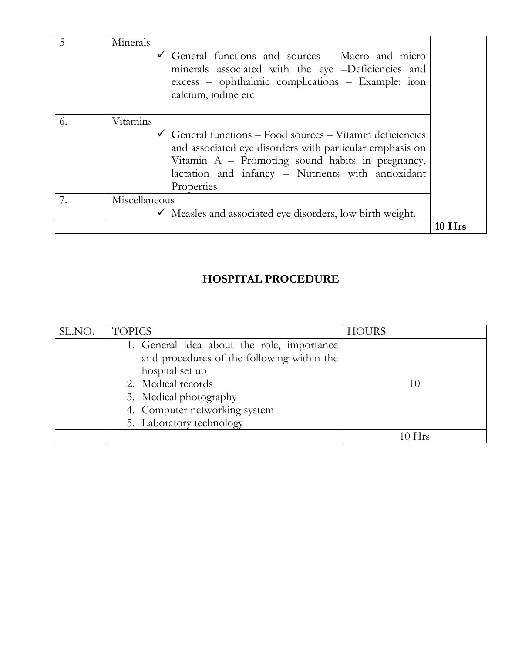| 5  | Minerals<br>General functions and sources – Macro and micro<br>minerals associated with the eye -Deficiencies and<br>excess – ophthalmic complications – Example: iron<br>calcium, iodine etc                                                                        |          |
|----|----------------------------------------------------------------------------------------------------------------------------------------------------------------------------------------------------------------------------------------------------------------------|----------|
| 6. | Vitamins<br>$\checkmark$ General functions – Food sources – Vitamin deficiencies<br>and associated eye disorders with particular emphasis on<br>Vitamin A - Promoting sound habits in pregnancy,<br>lactation and infancy - Nutrients with antioxidant<br>Properties |          |
| 7. | Miscellaneous<br>$\checkmark$ Measles and associated eye disorders, low birth weight.                                                                                                                                                                                |          |
|    |                                                                                                                                                                                                                                                                      | $10$ Hrs |

## **HOSPITAL PROCEDURE**

| SL.NO. | <b>TOPICS</b>                                                 | <b>HOURS</b> |
|--------|---------------------------------------------------------------|--------------|
|        | 1. General idea about the role, importance                    |              |
|        | and procedures of the following within the<br>hospital set up |              |
|        | 2. Medical records                                            | 10           |
|        | 3. Medical photography                                        |              |
|        | 4. Computer networking system                                 |              |
|        | 5. Laboratory technology                                      |              |
|        |                                                               | $10$ Hrs     |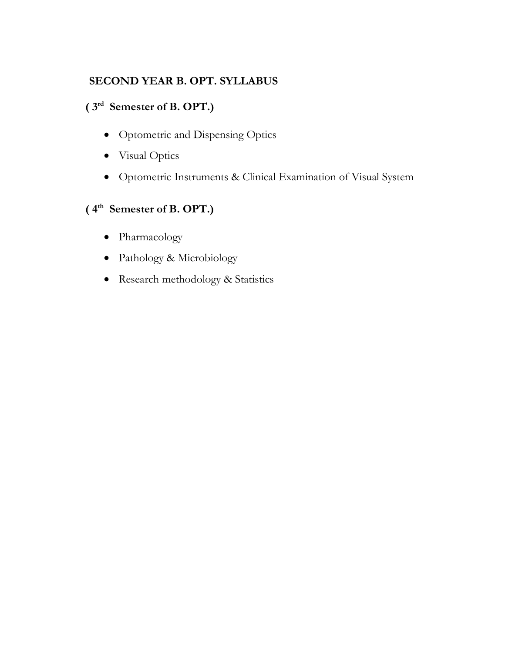## **SECOND YEAR B. OPT. SYLLABUS**

## **( 3rd Semester of B. OPT.)**

- Optometric and Dispensing Optics
- Visual Optics
- Optometric Instruments & Clinical Examination of Visual System

## **( 4th Semester of B. OPT.)**

- Pharmacology
- Pathology & Microbiology
- Research methodology & Statistics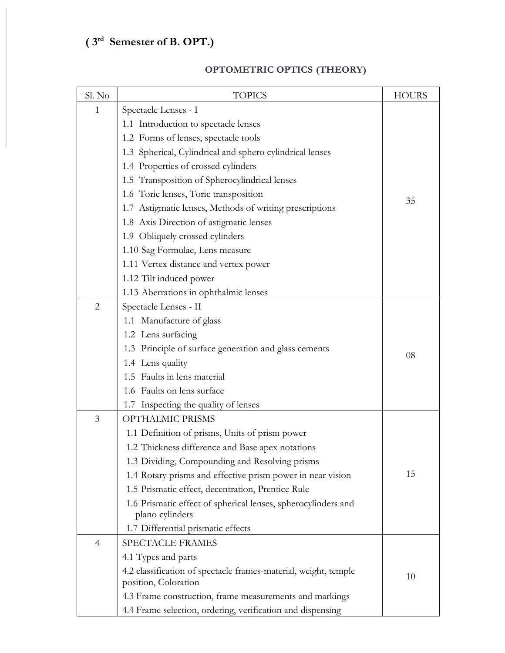## **( 3rd Semester of B. OPT.)**

| Sl. No         | <b>TOPICS</b>                                                   | <b>HOURS</b> |
|----------------|-----------------------------------------------------------------|--------------|
| $\mathbf{1}$   | Spectacle Lenses - I                                            |              |
|                | 1.1 Introduction to spectacle lenses                            |              |
|                | 1.2 Forms of lenses, spectacle tools                            |              |
|                | 1.3 Spherical, Cylindrical and sphero cylindrical lenses        |              |
|                | 1.4 Properties of crossed cylinders                             |              |
|                | 1.5 Transposition of Spherocylindrical lenses                   |              |
|                | 1.6 Toric lenses, Toric transposition                           |              |
|                | 1.7 Astigmatic lenses, Methods of writing prescriptions         | 35           |
|                | 1.8 Axis Direction of astigmatic lenses                         |              |
|                | 1.9 Obliquely crossed cylinders                                 |              |
|                | 1.10 Sag Formulae, Lens measure                                 |              |
|                | 1.11 Vertex distance and vertex power                           |              |
|                | 1.12 Tilt induced power                                         |              |
|                | 1.13 Aberrations in ophthalmic lenses                           |              |
| $\overline{2}$ | Spectacle Lenses - II                                           |              |
|                | 1.1 Manufacture of glass                                        |              |
|                | 1.2 Lens surfacing                                              |              |
|                | 1.3 Principle of surface generation and glass cements           |              |
|                | 1.4 Lens quality                                                | 08           |
|                | 1.5 Faults in lens material                                     |              |
|                | 1.6 Faults on lens surface                                      |              |
|                | 1.7 Inspecting the quality of lenses                            |              |
| $\mathfrak{Z}$ | OPTHALMIC PRISMS                                                |              |
|                | 1.1 Definition of prisms, Units of prism power                  |              |
|                | 1.2 Thickness difference and Base apex notations                |              |
|                | 1.3 Dividing, Compounding and Resolving prisms                  |              |
|                | 1.4 Rotary prisms and effective prism power in near vision      | 15           |
|                | 1.5 Prismatic effect, decentration, Prentice Rule               |              |
|                | 1.6 Prismatic effect of spherical lenses, spherocylinders and   |              |
|                | plano cylinders                                                 |              |
|                | 1.7 Differential prismatic effects                              |              |
| $\overline{4}$ | SPECTACLE FRAMES                                                |              |
|                | 4.1 Types and parts                                             |              |
|                | 4.2 classification of spectacle frames-material, weight, temple | 10           |
|                | position, Coloration                                            |              |
|                | 4.3 Frame construction, frame measurements and markings         |              |
|                | 4.4 Frame selection, ordering, verification and dispensing      |              |

## **OPTOMETRIC OPTICS (THEORY)**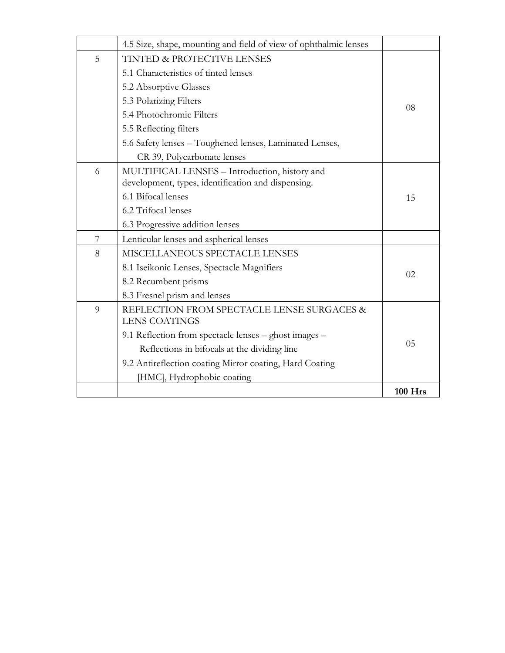|   | 4.5 Size, shape, mounting and field of view of ophthalmic lenses |                |
|---|------------------------------------------------------------------|----------------|
| 5 | TINTED & PROTECTIVE LENSES                                       |                |
|   | 5.1 Characteristics of tinted lenses                             |                |
|   | 5.2 Absorptive Glasses                                           |                |
|   | 5.3 Polarizing Filters                                           |                |
|   | 5.4 Photochromic Filters                                         | 08             |
|   | 5.5 Reflecting filters                                           |                |
|   | 5.6 Safety lenses – Toughened lenses, Laminated Lenses,          |                |
|   | CR 39, Polycarbonate lenses                                      |                |
| 6 | MULTIFICAL LENSES - Introduction, history and                    |                |
|   | development, types, identification and dispensing.               |                |
|   | 6.1 Bifocal lenses                                               | 15             |
|   | 6.2 Trifocal lenses                                              |                |
|   | 6.3 Progressive addition lenses                                  |                |
| 7 | Lenticular lenses and aspherical lenses                          |                |
| 8 | MISCELLANEOUS SPECTACLE LENSES                                   |                |
|   | 8.1 Iseikonic Lenses, Spectacle Magnifiers                       | 02             |
|   | 8.2 Recumbent prisms                                             |                |
|   | 8.3 Fresnel prism and lenses                                     |                |
| 9 | REFLECTION FROM SPECTACLE LENSE SURGACES &                       |                |
|   | <b>LENS COATINGS</b>                                             |                |
|   | 9.1 Reflection from spectacle lenses - ghost images -            | 05             |
|   | Reflections in bifocals at the dividing line                     |                |
|   | 9.2 Antireflection coating Mirror coating, Hard Coating          |                |
|   | [HMC], Hydrophobic coating                                       |                |
|   |                                                                  | <b>100 Hrs</b> |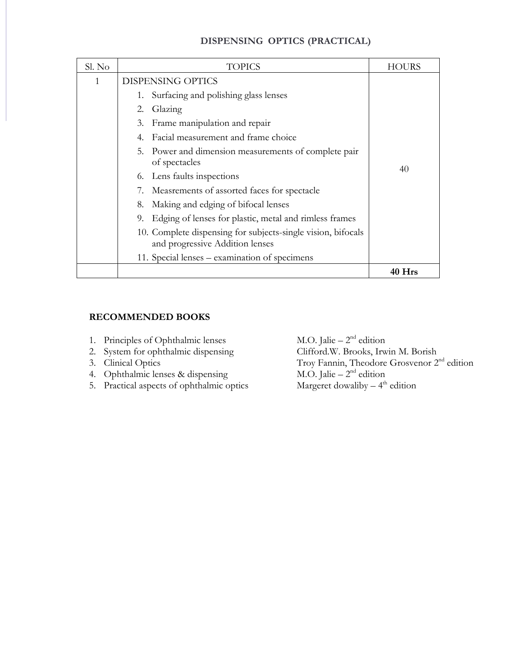#### **DISPENSING OPTICS (PRACTICAL)**

| Sl. No | TOPICS                                                                                          | HOURS  |
|--------|-------------------------------------------------------------------------------------------------|--------|
| 1      | <b>DISPENSING OPTICS</b>                                                                        |        |
|        | Surfacing and polishing glass lenses<br>1.                                                      |        |
|        | Glazing<br>2.                                                                                   |        |
|        | 3. Frame manipulation and repair                                                                |        |
|        | Facial measurement and frame choice                                                             |        |
|        | Power and dimension measurements of complete pair<br>5.<br>of spectacles                        |        |
|        | 6. Lens faults inspections                                                                      | 40     |
|        | Measrements of assorted faces for spectacle                                                     |        |
|        | Making and edging of bifocal lenses<br>8.                                                       |        |
|        | Edging of lenses for plastic, metal and rimless frames<br>9.                                    |        |
|        | 10. Complete dispensing for subjects-single vision, bifocals<br>and progressive Addition lenses |        |
|        | 11. Special lenses – examination of specimens                                                   |        |
|        |                                                                                                 | 40 Hrs |

#### **RECOMMENDED BOOKS**

- 1. Principles of Ophthalmic lenses
- 2. System for ophthalmic dispensing
- 
- 4. Ophthalmic lenses & dispensing
- $\overline{\phantom{a}}$  5. Practical aspects of ophthalmic optics

M.O. Jalie –  $2<sup>nd</sup>$  edition<br>Clifford W. Brooks, Irwin M. Borish 3. Clinical Optics Troy Fannin, Theodore Grosvenor 2<sup>nd</sup> edition  $M.O.$  Jalie –  $2<sup>nd</sup>$  edition Margeret dowaliby  $-4$ <sup>th</sup> edition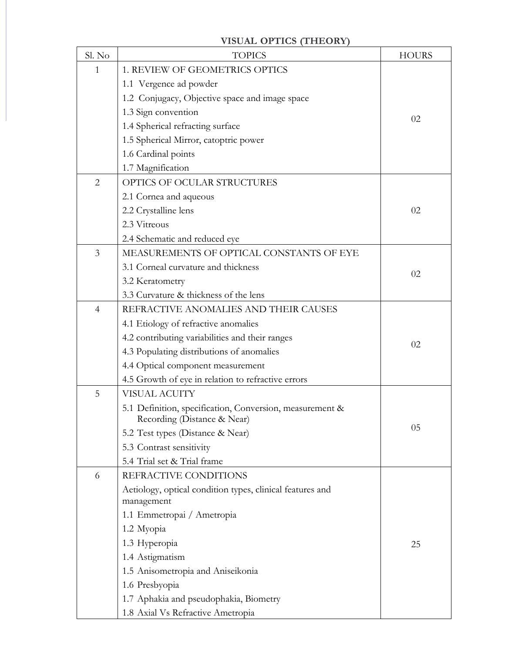#### **VISUAL OPTICS (THEORY)** Sl. No | TOPICS | HOURS 1 1. REVIEW OF GEOMETRICS OPTICS 1.1 Vergence ad powder 1.2 Conjugacy, Objective space and image space 1.3 Sign convention 1.4 Spherical refracting surface 1.5 Spherical Mirror, catoptric power 1.6 Cardinal points 1.7 Magnification 02 2 OPTICS OF OCULAR STRUCTURES 2.1 Cornea and aqueous 2.2 Crystalline lens 2.3 Vitreous 2.4 Schematic and reduced eye 02 3 MEASUREMENTS OF OPTICAL CONSTANTS OF EYE 3.1 Corneal curvature and thickness 3.2 Keratometry 3.3 Curvature & thickness of the lens 02 4 REFRACTIVE ANOMALIES AND THEIR CAUSES 4.1 Etiology of refractive anomalies 4.2 contributing variabilities and their ranges 4.3 Populating distributions of anomalies 4.4 Optical component measurement 4.5 Growth of eye in relation to refractive errors 02 5 VISUAL ACUITY 5.1 Definition, specification, Conversion, measurement & Recording (Distance & Near) 5.2 Test types (Distance & Near) 5.3 Contrast sensitivity 5.4 Trial set & Trial frame 05 6 REFRACTIVE CONDITIONS Aetiology, optical condition types, clinical features and management 1.1 Emmetropai / Ametropia 1.2 Myopia 1.3 Hyperopia 1.4 Astigmatism 1.5 Anisometropia and Aniseikonia 1.6 Presbyopia 1.7 Aphakia and pseudophakia, Biometry 1.8 Axial Vs Refractive Ametropia 25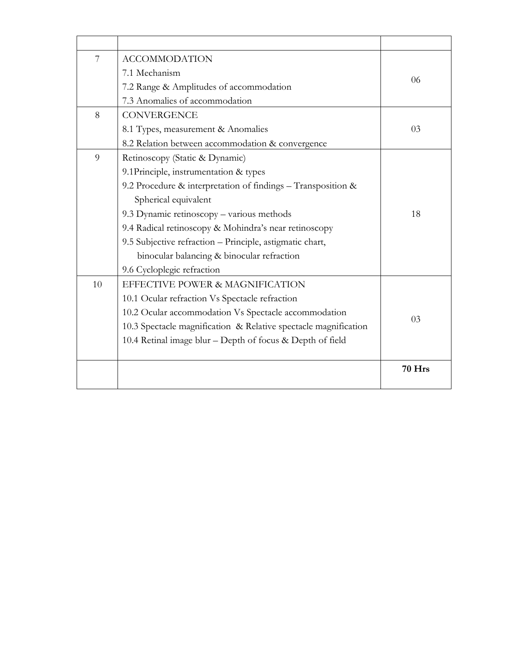| 7  | <b>ACCOMMODATION</b>                                            |        |
|----|-----------------------------------------------------------------|--------|
|    | 7.1 Mechanism                                                   |        |
|    | 7.2 Range & Amplitudes of accommodation                         | 06     |
|    | 7.3 Anomalies of accommodation                                  |        |
| 8  | <b>CONVERGENCE</b>                                              |        |
|    | 8.1 Types, measurement & Anomalies                              | 03     |
|    | 8.2 Relation between accommodation & convergence                |        |
| 9  | Retinoscopy (Static & Dynamic)                                  |        |
|    | 9.1Principle, instrumentation & types                           |        |
|    | 9.2 Procedure & interpretation of findings - Transposition &    |        |
|    | Spherical equivalent                                            |        |
|    | 9.3 Dynamic retinoscopy - various methods                       | 18     |
|    | 9.4 Radical retinoscopy & Mohindra's near retinoscopy           |        |
|    | 9.5 Subjective refraction - Principle, astigmatic chart,        |        |
|    | binocular balancing & binocular refraction                      |        |
|    | 9.6 Cycloplegic refraction                                      |        |
| 10 | EFFECTIVE POWER & MAGNIFICATION                                 |        |
|    | 10.1 Ocular refraction Vs Spectacle refraction                  |        |
|    | 10.2 Ocular accommodation Vs Spectacle accommodation            |        |
|    | 10.3 Spectacle magnification & Relative spectacle magnification | 03     |
|    | 10.4 Retinal image blur – Depth of focus & Depth of field       |        |
|    |                                                                 |        |
|    |                                                                 | 70 Hrs |
|    |                                                                 |        |
|    |                                                                 |        |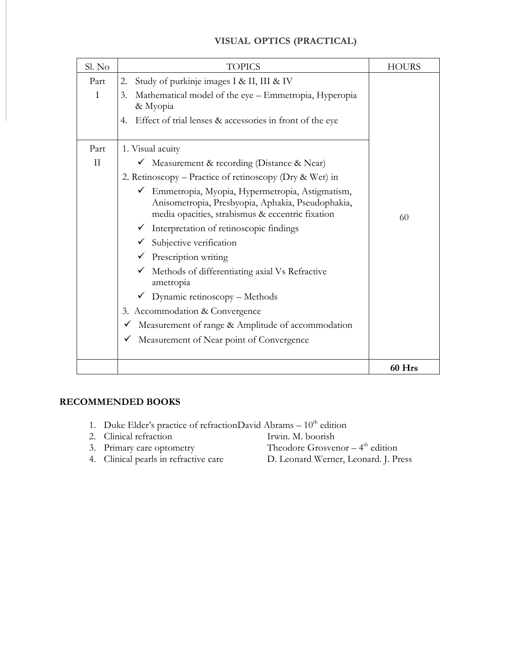| Sl. No              | <b>TOPICS</b>                                                                                                                                                            | <b>HOURS</b> |
|---------------------|--------------------------------------------------------------------------------------------------------------------------------------------------------------------------|--------------|
| Part<br>$\mathbf I$ | Study of purkinje images I & II, III & IV<br>2.<br>Mathematical model of the eye - Emmetropia, Hyperopia<br>3.                                                           |              |
|                     | & Myopia<br>Effect of trial lenses & accessories in front of the eye<br>4.                                                                                               |              |
| Part                | 1. Visual acuity                                                                                                                                                         |              |
| $_{\rm II}$         | └ Measurement & recording (Distance & Near)                                                                                                                              |              |
|                     | 2. Retinoscopy - Practice of retinoscopy (Dry & Wet) in                                                                                                                  |              |
|                     | Emmetropia, Myopia, Hypermetropia, Astigmatism,<br>$\checkmark$<br>Anisometropia, Presbyopia, Aphakia, Pseudophakia,<br>media opacities, strabismus & eccentric fixation | 60           |
|                     | $\checkmark$ Interpretation of retinoscopic findings                                                                                                                     |              |
|                     | Subjective verification                                                                                                                                                  |              |
|                     | Prescription writing                                                                                                                                                     |              |
|                     | Methods of differentiating axial Vs Refractive<br>ametropia                                                                                                              |              |
|                     | $\checkmark$ Dynamic retinoscopy – Methods                                                                                                                               |              |
|                     | 3. Accommodation & Convergence                                                                                                                                           |              |
|                     | Measurement of range & Amplitude of accommodation                                                                                                                        |              |
|                     | Measurement of Near point of Convergence                                                                                                                                 |              |
|                     |                                                                                                                                                                          | 60 Hrs       |

| 1. Duke Elder's practice of refractionDavid Abrams – 10 <sup>th</sup> edition |  |
|-------------------------------------------------------------------------------|--|
|-------------------------------------------------------------------------------|--|

- 2. Clinical refraction Irwin. M. boorish
- 
- 
- Theodore Grosvenor  $-4$ <sup>th</sup> edition
- 3. Primary care optometry<br>4. Clinical pearls in refractive care
- D. Leonard Werner, Leonard. J. Press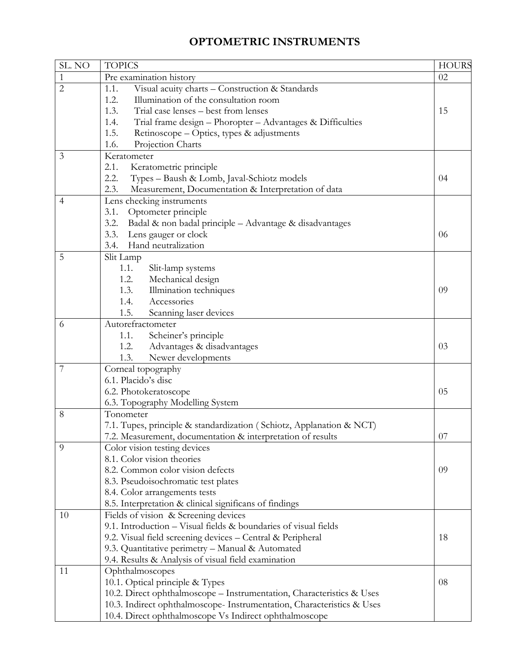## **OPTOMETRIC INSTRUMENTS**

| SL. NO         | <b>TOPICS</b>                                                          | <b>HOURS</b> |
|----------------|------------------------------------------------------------------------|--------------|
| $\mathbf{1}$   | Pre examination history                                                | 02           |
| $\overline{2}$ | Visual acuity charts - Construction & Standards<br>1.1.                |              |
|                | 1.2.<br>Illumination of the consultation room                          |              |
|                | 1.3.<br>Trial case lenses - best from lenses                           | 15           |
|                | Trial frame design - Phoropter - Advantages & Difficulties<br>1.4.     |              |
|                | 1.5.<br>Retinoscope – Optics, types & adjustments                      |              |
|                | Projection Charts<br>1.6.                                              |              |
| 3              | Keratometer                                                            |              |
|                | 2.1.<br>Keratometric principle                                         |              |
|                | Types - Baush & Lomb, Javal-Schiotz models<br>2.2.                     | 04           |
|                | Measurement, Documentation & Interpretation of data<br>2.3.            |              |
| 4              | Lens checking instruments                                              |              |
|                | 3.1.<br>Optometer principle                                            |              |
|                | Badal & non badal principle - Advantage & disadvantages<br>3.2.        |              |
|                | Lens gauger or clock<br>3.3.                                           | 06           |
|                | Hand neutralization<br>3.4.                                            |              |
| 5              | Slit Lamp                                                              |              |
|                | 1.1.<br>Slit-lamp systems                                              |              |
|                | 1.2.<br>Mechanical design                                              |              |
|                | 1.3.<br>Illmination techniques                                         | 09           |
|                | 1.4.<br>Accessories                                                    |              |
|                | 1.5.<br>Scanning laser devices                                         |              |
| 6              | Autorefractometer                                                      |              |
|                | 1.1.<br>Scheiner's principle                                           |              |
|                | Advantages & disadvantages<br>1.2.                                     | 03           |
|                | Newer developments<br>1.3.                                             |              |
| 7              | Corneal topography                                                     |              |
|                | 6.1. Placido's disc                                                    |              |
|                | 6.2. Photokeratoscope                                                  | 05           |
|                | 6.3. Topography Modelling System                                       |              |
| 8              | Tonometer                                                              |              |
|                | 7.1. Tupes, principle & standardization (Schiotz, Applanation & NCT)   |              |
|                | 7.2. Measurement, documentation & interpretation of results            | 07           |
| 9              | Color vision testing devices                                           |              |
|                | 8.1. Color vision theories                                             |              |
|                | 8.2. Common color vision defects                                       | 09           |
|                | 8.3. Pseudoisochromatic test plates                                    |              |
|                | 8.4. Color arrangements tests                                          |              |
|                | 8.5. Interpretation & clinical significans of findings                 |              |
| 10             | Fields of vision & Screening devices                                   |              |
|                | 9.1. Introduction - Visual fields & boundaries of visual fields        |              |
|                | 9.2. Visual field screening devices - Central & Peripheral             | 18           |
|                | 9.3. Quantitative perimetry - Manual & Automated                       |              |
|                | 9.4. Results & Analysis of visual field examination                    |              |
| 11             | Ophthalmoscopes                                                        |              |
|                | 10.1. Optical principle & Types                                        | 08           |
|                | 10.2. Direct ophthalmoscope - Instrumentation, Characteristics & Uses  |              |
|                | 10.3. Indirect ophthalmoscope- Instrumentation, Characteristics & Uses |              |
|                | 10.4. Direct ophthalmoscope Vs Indirect ophthalmoscope                 |              |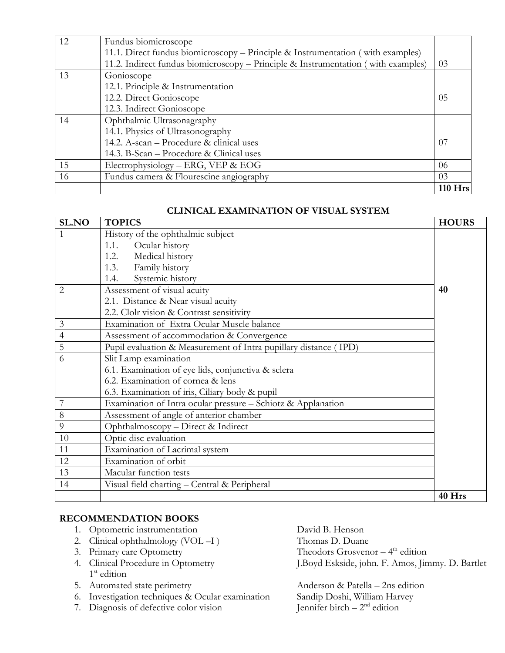| 12 | Fundus biomicroscope                                                              |         |
|----|-----------------------------------------------------------------------------------|---------|
|    | 11.1. Direct fundus biomicroscopy – Principle & Instrumentation (with examples)   |         |
|    | 11.2. Indirect fundus biomicroscopy - Principle & Instrumentation (with examples) | 03      |
| 13 | Gonioscope                                                                        |         |
|    | 12.1. Principle & Instrumentation                                                 |         |
|    | 12.2. Direct Gonioscope                                                           | 05      |
|    | 12.3. Indirect Gonioscope                                                         |         |
| 14 | Ophthalmic Ultrasonagraphy                                                        |         |
|    | 14.1. Physics of Ultrasonography                                                  |         |
|    | 14.2. A-scan – Procedure & clinical uses                                          | 07      |
|    | 14.3. B-Scan – Procedure & Clinical uses                                          |         |
| 15 | Electrophysiology - ERG, VEP & EOG                                                | 06      |
| 16 | Fundus camera & Flourescine angiography                                           | 03      |
|    |                                                                                   | 110 Hrs |

#### **CLINICAL EXAMINATION OF VISUAL SYSTEM**

| <b>SL.NO</b>   | <b>TOPICS</b>                                                    | <b>HOURS</b> |
|----------------|------------------------------------------------------------------|--------------|
| 1              | History of the ophthalmic subject                                |              |
|                | Ocular history<br>1.1.                                           |              |
|                | 1.2. Medical history                                             |              |
|                | Family history<br>1.3.                                           |              |
|                | Systemic history<br>1.4.                                         |              |
| $\overline{2}$ | Assessment of visual acuity                                      | 40           |
|                | 2.1. Distance & Near visual acuity                               |              |
|                | 2.2. Clolr vision & Contrast sensitivity                         |              |
| 3              | Examination of Extra Ocular Muscle balance                       |              |
| $\overline{4}$ | Assessment of accommodation & Convergence                        |              |
| 5              | Pupil evaluation & Measurement of Intra pupillary distance (IPD) |              |
| 6              | Slit Lamp examination                                            |              |
|                | 6.1. Examination of eye lids, conjunctiva & sclera               |              |
|                | 6.2. Examination of cornea & lens                                |              |
|                | 6.3. Examination of iris, Ciliary body & pupil                   |              |
|                | Examination of Intra ocular pressure - Schiotz & Applanation     |              |
| 8              | Assessment of angle of anterior chamber                          |              |
| 9              | Ophthalmoscopy - Direct & Indirect                               |              |
| 10             | Optic disc evaluation                                            |              |
| 11             | Examination of Lacrimal system                                   |              |
| 12             | Examination of orbit                                             |              |
| 13             | Macular function tests                                           |              |
| 14             | Visual field charting - Central & Peripheral                     |              |
|                |                                                                  | 40 Hrs       |

#### **RECOMMENDATION BOOKS**

- 1. Optometric instrumentation David B. Henson
- 2. Clinical ophthalmology (VOL –I ) Thomas D. Duane
- 
- 3. Primary care Optometry<br>4. Clinical Procedure in Optometry 1<sup>st</sup> edition
- 
- 6. Investigation techniques & Ocular examination
- 7. Diagnosis of defective color vision

Theodors Grosvenor  $-4$ <sup>th</sup> edition J. Boyd Eskside, john. F. Amos, Jimmy. D. Bartlet

5. Automated state perimetry<br>
6. Investigation techniques & Ocular examination<br>
Sandip Doshi, William Harvey Jennifer birch  $-2<sup>nd</sup>$  edition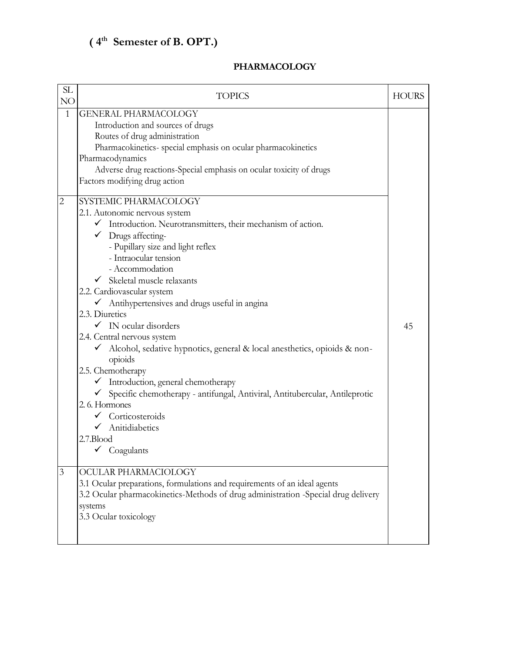## **( 4th Semester of B. OPT.)**

| SL<br>NO                     | <b>TOPICS</b>                                                                                                                                                                                                                                                                                                                                                                                                                                                                                                                                                                                                                    | <b>HOURS</b> |
|------------------------------|----------------------------------------------------------------------------------------------------------------------------------------------------------------------------------------------------------------------------------------------------------------------------------------------------------------------------------------------------------------------------------------------------------------------------------------------------------------------------------------------------------------------------------------------------------------------------------------------------------------------------------|--------------|
| $\mathbf{1}$<br>$\mathbf{2}$ | <b>GENERAL PHARMACOLOGY</b><br>Introduction and sources of drugs<br>Routes of drug administration<br>Pharmacokinetics- special emphasis on ocular pharmacokinetics<br>Pharmacodynamics<br>Adverse drug reactions-Special emphasis on ocular toxicity of drugs<br>Factors modifying drug action<br>SYSTEMIC PHARMACOLOGY<br>2.1. Autonomic nervous system<br>$\checkmark$ Introduction. Neurotransmitters, their mechanism of action.<br>$\checkmark$ Drugs affecting-<br>- Pupillary size and light reflex                                                                                                                       |              |
|                              | - Intraocular tension<br>- Accommodation<br>$\checkmark$ Skeletal muscle relaxants<br>2.2. Cardiovascular system<br>✔ Antihypertensives and drugs useful in angina<br>2.3. Diuretics<br>$\checkmark$ IN ocular disorders<br>2.4. Central nervous system<br>Alcohol, sedative hypnotics, general & local anesthetics, opioids & non-<br>$\checkmark$<br>opioids<br>2.5. Chemotherapy<br>Introduction, general chemotherapy<br>Specific chemotherapy - antifungal, Antiviral, Antitubercular, Antileprotic<br>2.6. Hormones<br>$\checkmark$ Corticosteroids<br>$\checkmark$ Anitidiabetics<br>2.7.Blood<br>$\checkmark$ Coagulants | 45           |
| 3                            | OCULAR PHARMACIOLOGY<br>3.1 Ocular preparations, formulations and requirements of an ideal agents<br>3.2 Ocular pharmacokinetics-Methods of drug administration -Special drug delivery<br>systems<br>3.3 Ocular toxicology                                                                                                                                                                                                                                                                                                                                                                                                       |              |

#### **PHARMACOLOGY**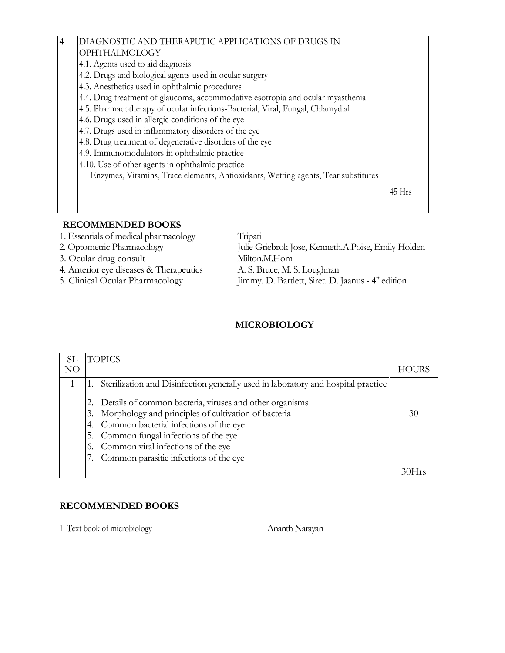| $\overline{4}$ | DIAGNOSTIC AND THERAPUTIC APPLICATIONS OF DRUGS IN                                |          |
|----------------|-----------------------------------------------------------------------------------|----------|
|                | <b>OPHTHALMOLOGY</b>                                                              |          |
|                | 4.1. Agents used to aid diagnosis                                                 |          |
|                | 4.2. Drugs and biological agents used in ocular surgery                           |          |
|                | 4.3. Anesthetics used in ophthalmic procedures                                    |          |
|                | 4.4. Drug treatment of glaucoma, accommodative esotropia and ocular myasthenia    |          |
|                | 4.5. Pharmacotherapy of ocular infections-Bacterial, Viral, Fungal, Chlamydial    |          |
|                | 4.6. Drugs used in allergic conditions of the eye                                 |          |
|                | 4.7. Drugs used in inflammatory disorders of the eye                              |          |
|                | 4.8. Drug treatment of degenerative disorders of the eye                          |          |
|                | 4.9. Immunomodulators in ophthalmic practice                                      |          |
|                | 4.10. Use of other agents in ophthalmic practice                                  |          |
|                | Enzymes, Vitamins, Trace elements, Antioxidants, Wetting agents, Tear substitutes |          |
|                |                                                                                   | $45$ Hrs |
|                |                                                                                   |          |
|                |                                                                                   |          |

1. Essentials of medical pharmacology Tripati

4. Anterior eye diseases & Therapeutics

2. Optometric Pharmacology Julie Griebrok Jose, Kenneth.A.Poise, Emily Holden 3. Ocular drug consult Milton.M.Hom<br>4. Anterior eye diseases & Therapeutics A. S. Bruce, M. S. Loughnan 5. Clinical Ocular Pharmacology Jimmy. D. Bartlett, Siret. D. Jaanus - 4<sup>ft</sup> edition

### **MICROBIOLOGY**

| SL | <b>TOPICS</b>                                                                                                         |              |
|----|-----------------------------------------------------------------------------------------------------------------------|--------------|
| NO |                                                                                                                       | <b>HOURS</b> |
|    | Sterilization and Disinfection generally used in laboratory and hospital practice                                     |              |
|    | Details of common bacteria, viruses and other organisms<br>Morphology and principles of cultivation of bacteria<br>3. | 30           |
|    | Common bacterial infections of the eye                                                                                |              |
|    | Common fungal infections of the eye<br>5.                                                                             |              |
|    | Common viral infections of the eye                                                                                    |              |
|    | Common parasitic infections of the eye                                                                                |              |
|    |                                                                                                                       |              |

#### **RECOMMENDED BOOKS**

1. Text book of microbiology Ananth Narayan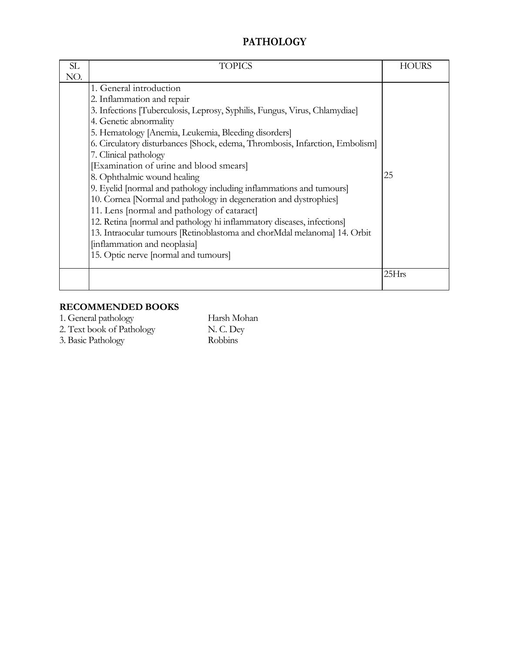## **PATHOLOGY**

| SL  | <b>TOPICS</b>                                                                | <b>HOURS</b> |
|-----|------------------------------------------------------------------------------|--------------|
| NO. |                                                                              |              |
|     | 1. General introduction                                                      |              |
|     | 2. Inflammation and repair                                                   |              |
|     | 3. Infections [Tuberculosis, Leprosy, Syphilis, Fungus, Virus, Chlamydiae]   |              |
|     | 4. Genetic abnormality                                                       |              |
|     | 5. Hematology [Anemia, Leukemia, Bleeding disorders]                         |              |
|     | 6. Circulatory disturbances [Shock, edema, Thrombosis, Infarction, Embolism] |              |
|     | 7. Clinical pathology                                                        |              |
|     | [Examination of urine and blood smears]                                      |              |
|     | 8. Ophthalmic wound healing                                                  | 25           |
|     | 9. Eyelid [normal and pathology including inflammations and tumours]         |              |
|     | 10. Cornea [Normal and pathology in degeneration and dystrophies]            |              |
|     | 11. Lens [normal and pathology of cataract]                                  |              |
|     | 12. Retina [normal and pathology hi inflammatory diseases, infections]       |              |
|     | 13. Intraocular tumours [Retinoblastoma and chorMdal melanoma] 14. Orbit     |              |
|     | [inflammation and neoplasia]                                                 |              |
|     | 15. Optic nerve [normal and tumours]                                         |              |
|     |                                                                              | 25Hrs        |
|     |                                                                              |              |

## **RECOMMENDED BOOKS**

1. General pathology Harsh Mohan 2. Text book of Pathology N. C. Dey

3. Basic Pathology Robbins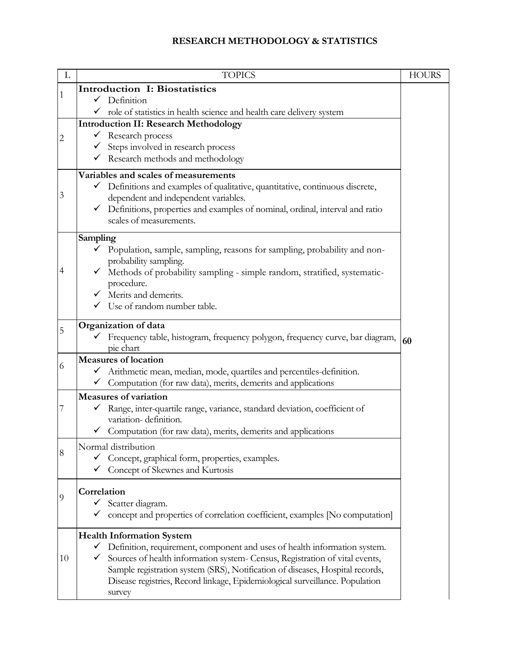### **RESEARCH METHODOLOGY & STATISTICS**

| L  | <b>TOPICS</b>                                                                                                                 | <b>HOURS</b> |
|----|-------------------------------------------------------------------------------------------------------------------------------|--------------|
| 1  | <b>Introduction I: Biostatistics</b>                                                                                          |              |
|    | Definition<br>$\checkmark$                                                                                                    |              |
|    | role of statistics in health science and health care delivery system                                                          |              |
|    | <b>Introduction II: Research Methodology</b>                                                                                  |              |
| 2  | $\checkmark$ Research process<br>Steps involved in research process                                                           |              |
|    | Research methods and methodology                                                                                              |              |
|    |                                                                                                                               |              |
|    | Variables and scales of measurements<br>Definitions and examples of qualitative, quantitative, continuous discrete,           |              |
| 3  | dependent and independent variables.                                                                                          |              |
|    | Definitions, properties and examples of nominal, ordinal, interval and ratio                                                  |              |
|    | scales of measurements.                                                                                                       |              |
|    | Sampling                                                                                                                      |              |
|    | Population, sample, sampling, reasons for sampling, probability and non-                                                      |              |
| 4  | probability sampling.                                                                                                         |              |
|    | Methods of probability sampling - simple random, stratified, systematic-<br>procedure.                                        |              |
|    | Merits and demerits.                                                                                                          |              |
|    | Use of random number table.                                                                                                   |              |
|    |                                                                                                                               |              |
| 5  | Organization of data<br>Frequency table, histogram, frequency polygon, frequency curve, bar diagram,                          |              |
|    | pie chart                                                                                                                     | 60           |
| 6  | Measures of location                                                                                                          |              |
|    | Arithmetic mean, median, mode, quartiles and percentiles-definition.<br>$\checkmark$                                          |              |
|    | $\checkmark$ Computation (for raw data), merits, demerits and applications                                                    |              |
|    | <b>Measures of variation</b>                                                                                                  |              |
| 7  | Range, inter-quartile range, variance, standard deviation, coefficient of<br>variation-definition.                            |              |
|    | Computation (for raw data), ments, demerits and applications                                                                  |              |
|    | Normal distribution                                                                                                           |              |
| 8  | Concept, graphical form, properties, examples.                                                                                |              |
|    | ← Concept of Skewnes and Kurtosis                                                                                             |              |
|    | Correlation                                                                                                                   |              |
| 9  | $\checkmark$ Scatter diagram.                                                                                                 |              |
|    | concept and properties of correlation coefficient, examples [No computation]                                                  |              |
|    |                                                                                                                               |              |
|    | <b>Health Information System</b><br>Definition, requirement, component and uses of health information system.<br>$\checkmark$ |              |
| 10 | Sources of health information system- Census, Registration of vital events,                                                   |              |
|    | Sample registration system (SRS), Notification of diseases, Hospital records,                                                 |              |
|    | Disease registries, Record linkage, Epidemiological surveillance. Population                                                  |              |
|    | survey                                                                                                                        |              |
|    |                                                                                                                               |              |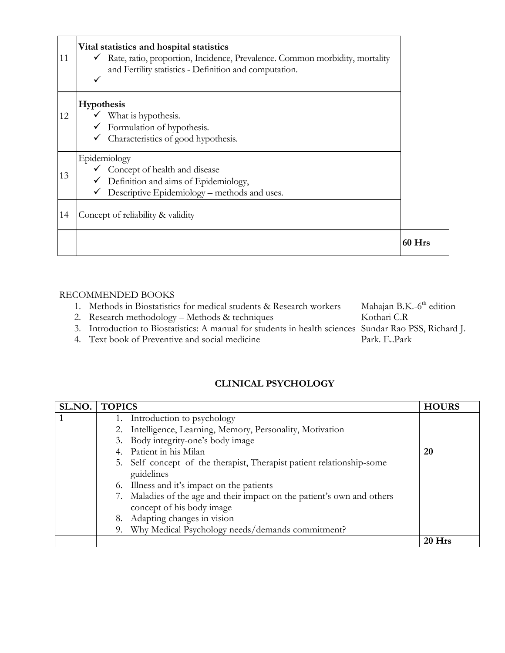| 11 | Vital statistics and hospital statistics<br>√ Rate, ratio, proportion, Incidence, Prevalence. Common morbidity, mortality<br>and Fertility statistics - Definition and computation.<br>✓ |          |
|----|------------------------------------------------------------------------------------------------------------------------------------------------------------------------------------------|----------|
| 12 | Hypothesis<br>$\checkmark$ What is hypothesis.<br>Formulation of hypothesis.<br>✓<br>Characteristics of good hypothesis.<br>✓                                                            |          |
| 13 | Epidemiology<br>$\checkmark$ Concept of health and disease<br>$\checkmark$ Definition and aims of Epidemiology,<br>Descriptive Epidemiology – methods and uses.<br>✓                     |          |
| 14 | Concept of reliability & validity                                                                                                                                                        |          |
|    |                                                                                                                                                                                          | $60$ Hrs |

| 1. Methods in Biostatistics for medical students & Research workers                                   | Mahajan B.K.-6 <sup>th</sup> edition |
|-------------------------------------------------------------------------------------------------------|--------------------------------------|
| 2. Research methodology – Methods & techniques                                                        | Kothari C.R                          |
| 3. Introduction to Biostatistics: A manual for students in health sciences Sundar Rao PSS, Richard J. |                                      |
| 4. Text book of Preventive and social medicine                                                        | Park. E. Park                        |

## **CLINICAL PSYCHOLOGY**

| SL.NO. | <b>TOPICS</b>                                                                                        | <b>HOURS</b> |
|--------|------------------------------------------------------------------------------------------------------|--------------|
|        | 1. Introduction to psychology                                                                        |              |
|        | 2. Intelligence, Learning, Memory, Personality, Motivation                                           |              |
|        | 3. Body integrity-one's body image                                                                   |              |
|        | 4. Patient in his Milan                                                                              | 20           |
|        | 5. Self concept of the therapist, Therapist patient relationship-some<br>guidelines                  |              |
|        | 6. Illness and it's impact on the patients                                                           |              |
|        | 7. Maladies of the age and their impact on the patient's own and others<br>concept of his body image |              |
|        | 8. Adapting changes in vision                                                                        |              |
|        | 9. Why Medical Psychology needs/demands commitment?                                                  |              |
|        |                                                                                                      | $20$ Hrs     |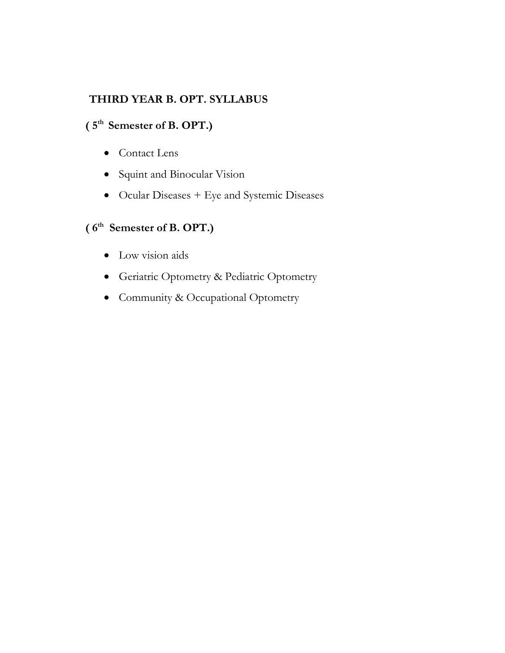## **THIRD YEAR B. OPT. SYLLABUS**

## **( 5 th Semester of B. OPT.)**

- Contact Lens
- Squint and Binocular Vision
- Ocular Diseases + Eye and Systemic Diseases

## **( 6 th Semester of B. OPT.)**

- Low vision aids
- Geriatric Optometry & Pediatric Optometry
- Community & Occupational Optometry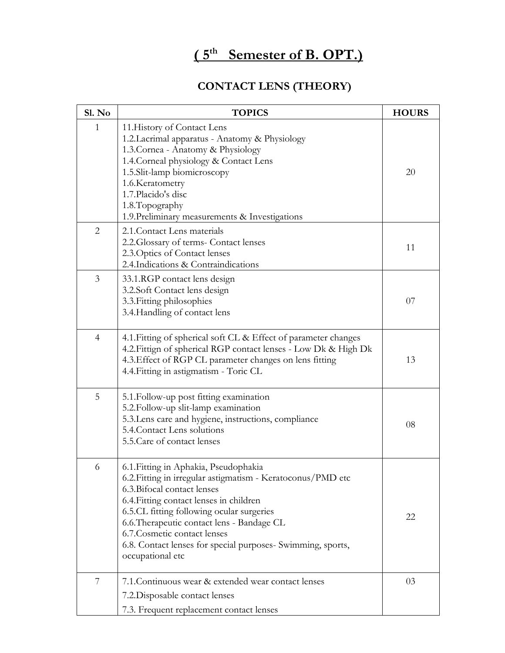## **( 5 th Semester of B. OPT.)**

## **CONTACT LENS (THEORY)**

| Sl. No         | <b>TOPICS</b>                                                                                                                                                                                                                                                                                                                                                                                | <b>HOURS</b> |
|----------------|----------------------------------------------------------------------------------------------------------------------------------------------------------------------------------------------------------------------------------------------------------------------------------------------------------------------------------------------------------------------------------------------|--------------|
| $\mathbf{1}$   | 11. History of Contact Lens<br>1.2. Lacrimal apparatus - Anatomy & Physiology<br>1.3. Cornea - Anatomy & Physiology<br>1.4. Corneal physiology & Contact Lens<br>1.5.Slit-lamp biomicroscopy<br>1.6. Keratometry<br>1.7. Placido's disc<br>1.8. Topography<br>1.9. Preliminary measurements & Investigations                                                                                 | 20           |
| $\overline{2}$ | 2.1. Contact Lens materials<br>2.2. Glossary of terms- Contact lenses<br>2.3. Optics of Contact lenses<br>2.4. Indications & Contraindications                                                                                                                                                                                                                                               | 11           |
| 3              | 33.1.RGP contact lens design<br>3.2.Soft Contact lens design<br>3.3. Fitting philosophies<br>3.4. Handling of contact lens                                                                                                                                                                                                                                                                   | 07           |
| $\overline{4}$ | 4.1. Fitting of spherical soft CL & Effect of parameter changes<br>4.2. Fittign of spherical RGP contact lenses - Low Dk & High Dk<br>4.3. Effect of RGP CL parameter changes on lens fitting<br>4.4. Fitting in astigmatism - Toric CL                                                                                                                                                      | 13           |
| 5              | 5.1. Follow-up post fitting examination<br>5.2. Follow-up slit-lamp examination<br>5.3. Lens care and hygiene, instructions, compliance<br>5.4. Contact Lens solutions<br>5.5. Care of contact lenses                                                                                                                                                                                        | 08           |
| 6              | 6.1. Fitting in Aphakia, Pseudophakia<br>6.2. Fitting in irregular astigmatism - Keratoconus/PMD etc<br>6.3. Bifocal contact lenses<br>6.4. Fitting contact lenses in children<br>6.5.CL fitting following ocular surgeries<br>6.6. Therapeutic contact lens - Bandage CL<br>6.7. Cosmetic contact lenses<br>6.8. Contact lenses for special purposes- Swimming, sports,<br>occupational etc | 22           |
| 7              | 7.1. Continuous wear & extended wear contact lenses<br>7.2. Disposable contact lenses<br>7.3. Frequent replacement contact lenses                                                                                                                                                                                                                                                            | 03           |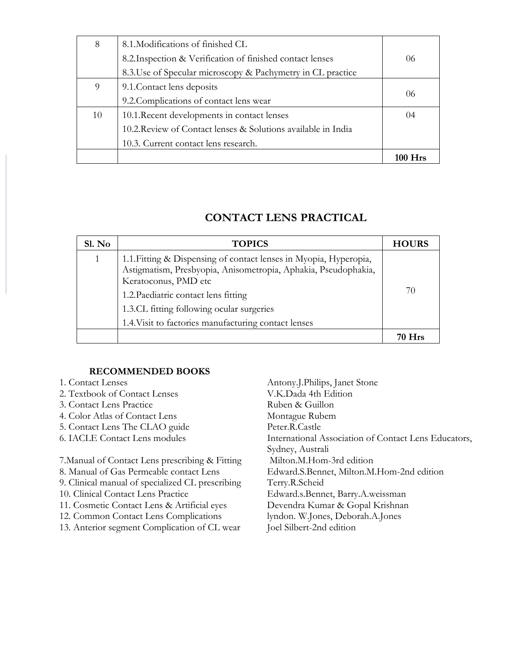| 8  | 8.1. Modifications of finished CL                             |      |
|----|---------------------------------------------------------------|------|
|    | 8.2. Inspection & Verification of finished contact lenses     | 06   |
|    | 8.3. Use of Specular microscopy & Pachymetry in CL practice   |      |
| 9  | 9.1. Contact lens deposits                                    |      |
|    | 9.2. Complications of contact lens wear                       | 06   |
| 10 | 10.1. Recent developments in contact lenses                   | (1)4 |
|    | 10.2. Review of Contact lenses & Solutions available in India |      |
|    | 10.3. Current contact lens research.                          |      |
|    |                                                               |      |

## **CONTACT LENS PRACTICAL**

| Sl. No | <b>TOPICS</b>                                                                                                                                                                                                                                                                                            | <b>HOURS</b> |
|--------|----------------------------------------------------------------------------------------------------------------------------------------------------------------------------------------------------------------------------------------------------------------------------------------------------------|--------------|
|        | 1.1. Fitting & Dispensing of contact lenses in Myopia, Hyperopia,<br>Astigmatism, Presbyopia, Anisometropia, Aphakia, Pseudophakia,<br>Keratoconus, PMD etc<br>1.2. Paediatric contact lens fitting<br>1.3.CL fitting following ocular surgeries<br>1.4. Visit to factories manufacturing contact lenses | 70           |
|        |                                                                                                                                                                                                                                                                                                          |              |

#### **RECOMMENDED BOOKS**

- 
- 
- 3. Contact Lens Practice
- 4. Color Atlas of Contact Lens Montague Rubem
- 5. Contact Lens The CLAO guide Peter.R.Castle
- 
- 7. Manual of Contact Lens prescribing & Fitting Milton.M. Hom-3rd edition
- 
- 9. Clinical manual of specialized CL prescribing Terry.R.Scheid
- 
- 11. Cosmetic Contact Lens & Artificial eyes Devendra Kumar & Gopal Krishnan
- 12. Common Contact Lens Complications lyndon. W.Jones, Deborah.A.Jones
- 13. Anterior segment Complication of CL wear Joel Silbert-2nd edition

1. Contact Lenses Antony.J.Philips, Janet Stone 2. Textbook of Contact Lenses V.K.Dada 4th Edition<br>
3. Contact Lens Practice Ruben & Guillon 6. IACLE Contact Lens modules International Association of Contact Lens Educators, Sydney, Australi 8. Manual of Gas Permeable contact Lens Edward.S.Bennet, Milton.M.Hom-2nd edition 10. Clinical Contact Lens Practice Edward.s.Bennet, Barry.A.weissman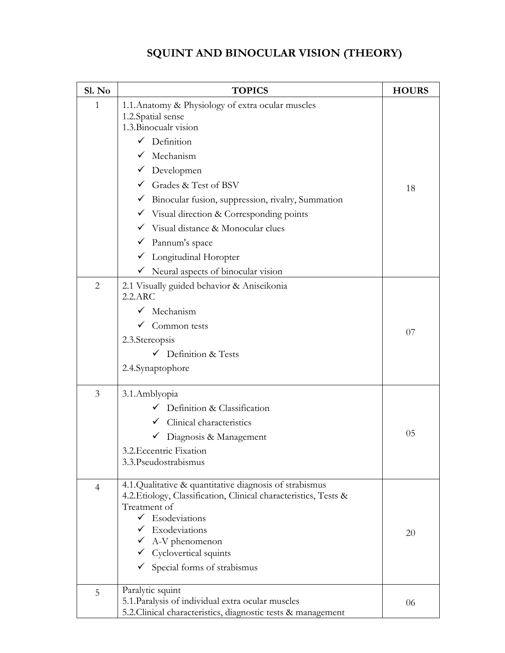## **SQUINT AND BINOCULAR VISION (THEORY)**

| Sl. No         | <b>TOPICS</b>                                                                                                                                                                                                                                                                                                                      | <b>HOURS</b> |
|----------------|------------------------------------------------------------------------------------------------------------------------------------------------------------------------------------------------------------------------------------------------------------------------------------------------------------------------------------|--------------|
| $\mathbf{1}$   | 1.1. Anatomy & Physiology of extra ocular muscles<br>1.2. Spatial sense<br>1.3. Binocualr vision<br>$\checkmark$ Definition<br>$\checkmark$ Mechanism<br>$\checkmark$ Developmen<br>$\checkmark$ Grades & Test of BSV<br>Binocular fusion, suppression, rivalry, Summation<br>$\checkmark$ Visual direction & Corresponding points | 18           |
|                | $\checkmark$ Visual distance & Monocular clues<br>Pannum's space<br>$\checkmark$<br>Longitudinal Horopter<br>$\checkmark$<br>$\checkmark$ Neural aspects of binocular vision                                                                                                                                                       |              |
| $\overline{2}$ | 2.1 Visually guided behavior & Aniseikonia<br>2.2.ARC<br>$\checkmark$ Mechanism<br>$\checkmark$ Common tests<br>2.3. Stereopsis<br>$\checkmark$ Definition & Tests<br>2.4.Synaptophore                                                                                                                                             | 07           |
| 3              | 3.1.Amblyopia<br>$\checkmark$ Definition & Classification<br>Clinical characteristics<br>Diagnosis & Management<br>3.2. Eccentric Fixation<br>3.3. Pseudostrabismus                                                                                                                                                                | 05           |
| $\overline{4}$ | 4.1.Qualitative & quantitative diagnosis of strabismus<br>4.2. Etiology, Classification, Clinical characteristics, Tests &<br>Treatment of<br>$\checkmark$ Esodeviations<br>$\checkmark$ Exodeviations<br>$\checkmark$ A-V phenomenon<br>$\checkmark$ Cyclovertical squints<br>$\checkmark$ Special forms of strabismus            | 20           |
| 5              | Paralytic squint<br>5.1. Paralysis of individual extra ocular muscles<br>5.2. Clinical characteristics, diagnostic tests & management                                                                                                                                                                                              | 06           |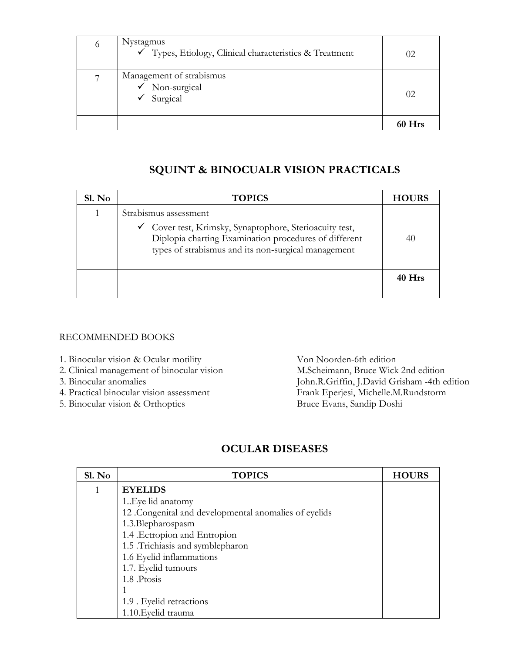| $\circ$ | Nystagmus<br>√ Types, Etiology, Clinical characteristics & Treatment | (1)2       |
|---------|----------------------------------------------------------------------|------------|
|         | Management of strabismus<br>$\checkmark$ Non-surgical<br>Surgical    | 02         |
|         |                                                                      | <b>Hrs</b> |

## **SQUINT & BINOCUALR VISION PRACTICALS**

| Sl. No | <b>TOPICS</b>                                                                                                                                                                                    | <b>HOURS</b> |
|--------|--------------------------------------------------------------------------------------------------------------------------------------------------------------------------------------------------|--------------|
|        | Strabismus assessment<br>← Cover test, Krimsky, Synaptophore, Sterioacuity test,<br>Diplopia charting Examination procedures of different<br>types of strabismus and its non-surgical management | 40           |
|        |                                                                                                                                                                                                  | 40 Hrs       |

#### RECOMMENDED BOOKS

- 1. Binocular vision & Ocular motility Von Noorden-6th edition
- 2. Clinical management of binocular vision M.Scheimann, Bruce Wick 2nd edition
- 
- 
- 5. Binocular vision & Orthoptics Bruce Evans, Sandip Doshi

3. Binocular anomalies John.R.Griffin, J.David Grisham -4th edition 4. Practical binocular vision assessment Frank Eperjesi, Michelle.M.Rundstorm

### **OCULAR DISEASES**

| S1. No | <b>TOPICS</b>                                         | <b>HOURS</b> |
|--------|-------------------------------------------------------|--------------|
|        | <b>EYELIDS</b>                                        |              |
|        | 1. Eye lid anatomy                                    |              |
|        | 12 .Congenital and developmental anomalies of eyelids |              |
|        | 1.3.Blepharospasm                                     |              |
|        | 1.4 Ectropion and Entropion                           |              |
|        | 1.5 .Trichiasis and symblepharon                      |              |
|        | 1.6 Eyelid inflammations                              |              |
|        | 1.7. Eyelid tumours                                   |              |
|        | 1.8 Ptosis                                            |              |
|        |                                                       |              |
|        | 1.9 . Eyelid retractions                              |              |
|        | 1.10. Eyelid trauma                                   |              |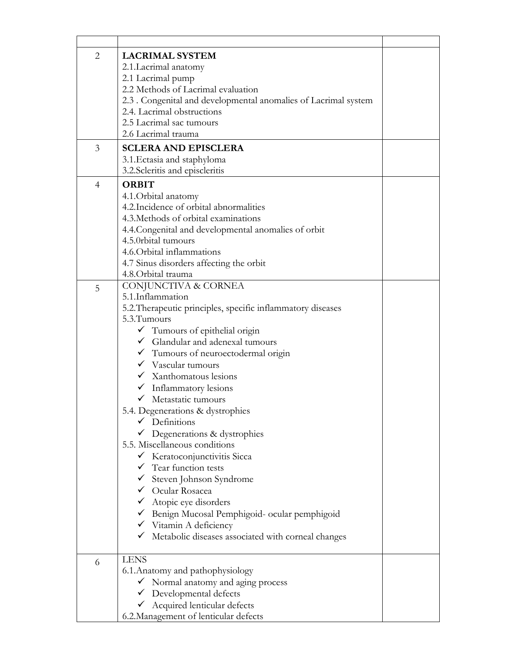| $\overline{2}$ | <b>LACRIMAL SYSTEM</b>                                          |  |
|----------------|-----------------------------------------------------------------|--|
|                | 2.1. Lacrimal anatomy                                           |  |
|                | 2.1 Lacrimal pump                                               |  |
|                | 2.2 Methods of Lacrimal evaluation                              |  |
|                | 2.3 . Congenital and developmental anomalies of Lacrimal system |  |
|                | 2.4. Lacrimal obstructions                                      |  |
|                | 2.5 Lacrimal sac tumours                                        |  |
|                | 2.6 Lacrimal trauma                                             |  |
|                |                                                                 |  |
| 3              | <b>SCLERA AND EPISCLERA</b>                                     |  |
|                | 3.1. Ectasia and staphyloma                                     |  |
|                | 3.2. Scleritis and episcleritis                                 |  |
| 4              | <b>ORBIT</b>                                                    |  |
|                | 4.1. Orbital anatomy                                            |  |
|                | 4.2. Incidence of orbital abnormalities                         |  |
|                | 4.3. Methods of orbital examinations                            |  |
|                | 4.4. Congenital and developmental anomalies of orbit            |  |
|                | 4.5.0rbital tumours                                             |  |
|                | 4.6. Orbital inflammations                                      |  |
|                | 4.7 Sinus disorders affecting the orbit                         |  |
|                | 4.8. Orbital trauma                                             |  |
| 5              | CONJUNCTIVA & CORNEA                                            |  |
|                | 5.1.Inflammation                                                |  |
|                | 5.2. Therapeutic principles, specific inflammatory diseases     |  |
|                | 5.3. Tumours                                                    |  |
|                | $\checkmark$ Tumours of epithelial origin                       |  |
|                | $\checkmark$ Glandular and adenexal tumours                     |  |
|                |                                                                 |  |
|                | $\checkmark$ Tumours of neuroectodermal origin                  |  |
|                | $\checkmark$ Vascular tumours                                   |  |
|                | $\checkmark$ Xanthomatous lesions                               |  |
|                | $\checkmark$ Inflammatory lesions                               |  |
|                | V Metastatic tumours                                            |  |
|                | 5.4. Degenerations & dystrophies                                |  |
|                | $\checkmark$ Definitions                                        |  |
|                | Degenerations & dystrophies                                     |  |
|                | 5.5. Miscellaneous conditions                                   |  |
|                | ← Keratoconjunctivitis Sicca                                    |  |
|                | $\checkmark$ Tear function tests                                |  |
|                | $\checkmark$ Steven Johnson Syndrome                            |  |
|                | $\checkmark$ Ocular Rosacea                                     |  |
|                | $\checkmark$ Atopic eye disorders                               |  |
|                | Benign Mucosal Pemphigoid- ocular pemphigoid                    |  |
|                | $\checkmark$ Vitamin A deficiency                               |  |
|                | $\checkmark$ Metabolic diseases associated with corneal changes |  |
|                |                                                                 |  |
| 6              | <b>LENS</b>                                                     |  |
|                | 6.1. Anatomy and pathophysiology                                |  |
|                | $\checkmark$ Normal anatomy and aging process                   |  |
|                | $\checkmark$ Developmental defects                              |  |
|                | ← Acquired lenticular defects                                   |  |
|                | 6.2. Management of lenticular defects                           |  |
|                |                                                                 |  |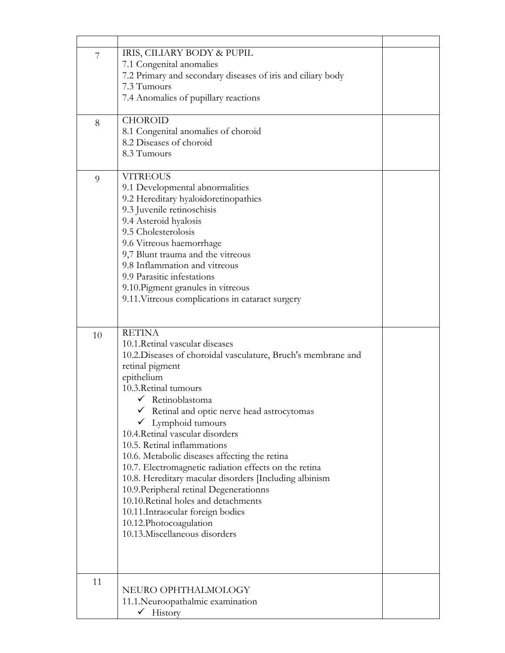| 7<br>8 | IRIS, CILIARY BODY & PUPIL<br>7.1 Congenital anomalies<br>7.2 Primary and secondary diseases of iris and ciliary body<br>7.3 Tumours<br>7.4 Anomalies of pupillary reactions<br><b>CHOROID</b><br>8.1 Congenital anomalies of choroid<br>8.2 Diseases of choroid                                                                                                                                                                                                                                                                                                                                                                                                                                        |  |
|--------|---------------------------------------------------------------------------------------------------------------------------------------------------------------------------------------------------------------------------------------------------------------------------------------------------------------------------------------------------------------------------------------------------------------------------------------------------------------------------------------------------------------------------------------------------------------------------------------------------------------------------------------------------------------------------------------------------------|--|
|        | 8.3 Tumours                                                                                                                                                                                                                                                                                                                                                                                                                                                                                                                                                                                                                                                                                             |  |
| 9      | <b>VITREOUS</b><br>9.1 Developmental abnormalities<br>9.2 Hereditary hyaloidoretinopathies<br>9.3 Juvenile retinoschisis<br>9.4 Asteroid hyalosis<br>9.5 Cholesterolosis<br>9.6 Vitreous haemorrhage<br>9,7 Blunt trauma and the vitreous<br>9.8 Inflammation and vitreous<br>9.9 Parasitic infestations<br>9.10. Pigment granules in vitreous<br>9.11. Vitreous complications in cataract surgery                                                                                                                                                                                                                                                                                                      |  |
| 10     | <b>RETINA</b><br>10.1. Retinal vascular diseases<br>10.2. Diseases of choroidal vasculature, Bruch's membrane and<br>retinal pigment<br>epithelium<br>10.3. Retinal tumours<br>$\checkmark$ Retinoblastoma<br>Retinal and optic nerve head astrocytomas<br>Lymphoid tumours<br>10.4. Retinal vascular disorders<br>10.5. Retinal inflammations<br>10.6. Metabolic diseases affecting the retina<br>10.7. Electromagnetic radiation effects on the retina<br>10.8. Hereditary macular disorders [Including albinism<br>10.9. Peripheral retinal Degenerationns<br>10.10. Retinal holes and detachments<br>10.11. Intraocular foreign bodies<br>10.12. Photocoagulation<br>10.13. Miscellaneous disorders |  |
| 11     | NEURO OPHTHALMOLOGY<br>11.1. Neuroopathalmic examination                                                                                                                                                                                                                                                                                                                                                                                                                                                                                                                                                                                                                                                |  |
|        | $\checkmark$ History                                                                                                                                                                                                                                                                                                                                                                                                                                                                                                                                                                                                                                                                                    |  |

 $\blacksquare$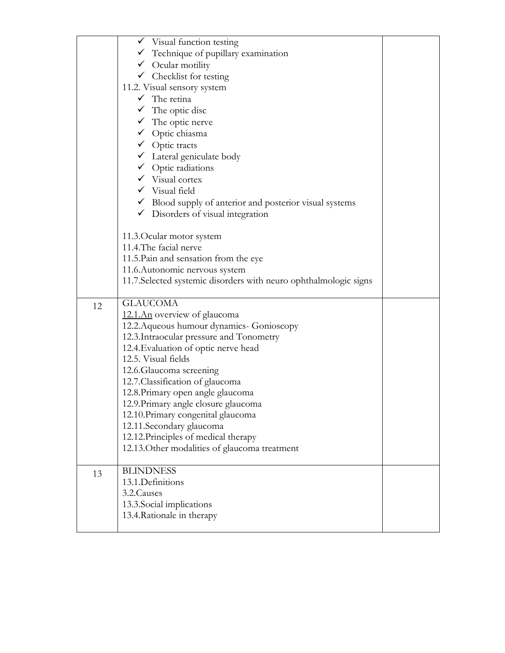|    | $\checkmark$ Visual function testing                               |  |
|----|--------------------------------------------------------------------|--|
|    | $\checkmark$ Technique of pupillary examination                    |  |
|    | $\checkmark$ Ocular motility                                       |  |
|    | $\checkmark$ Checklist for testing                                 |  |
|    | 11.2. Visual sensory system                                        |  |
|    | $\checkmark$ The retina                                            |  |
|    | $\checkmark$ The optic disc                                        |  |
|    | $\checkmark$ The optic nerve                                       |  |
|    | ◆ Optic chiasma                                                    |  |
|    | $\checkmark$ Optic tracts                                          |  |
|    | $\checkmark$ Lateral geniculate body                               |  |
|    | $\checkmark$ Optic radiations                                      |  |
|    | $\checkmark$ Visual cortex                                         |  |
|    | $\checkmark$ Visual field                                          |  |
|    | $\checkmark$ Blood supply of anterior and posterior visual systems |  |
|    | $\checkmark$ Disorders of visual integration                       |  |
|    |                                                                    |  |
|    | 11.3. Ocular motor system                                          |  |
|    | 11.4. The facial nerve                                             |  |
|    | 11.5. Pain and sensation from the eye                              |  |
|    | 11.6. Autonomic nervous system                                     |  |
|    | 11.7. Selected systemic disorders with neuro ophthalmologic signs  |  |
|    |                                                                    |  |
| 12 | <b>GLAUCOMA</b>                                                    |  |
|    | 12.1.An overview of glaucoma                                       |  |
|    | 12.2. Aqueous humour dynamics- Gonioscopy                          |  |
|    | 12.3. Intraocular pressure and Tonometry                           |  |
|    | 12.4. Evaluation of optic nerve head                               |  |
|    | 12.5. Visual fields                                                |  |
|    | 12.6. Glaucoma screening                                           |  |
|    | 12.7. Classification of glaucoma                                   |  |
|    | 12.8. Primary open angle glaucoma                                  |  |
|    | 12.9. Primary angle closure glaucoma                               |  |
|    | 12.10. Primary congenital glaucoma                                 |  |
|    | 12.11.Secondary glaucoma                                           |  |
|    | 12.12. Principles of medical therapy                               |  |
|    | 12.13. Other modalities of glaucoma treatment                      |  |
|    |                                                                    |  |
| 13 | <b>BLINDNESS</b>                                                   |  |
|    | 13.1.Definitions                                                   |  |
|    | 3.2. Causes                                                        |  |
|    | 13.3. Social implications                                          |  |
|    | 13.4. Rationale in therapy                                         |  |
|    |                                                                    |  |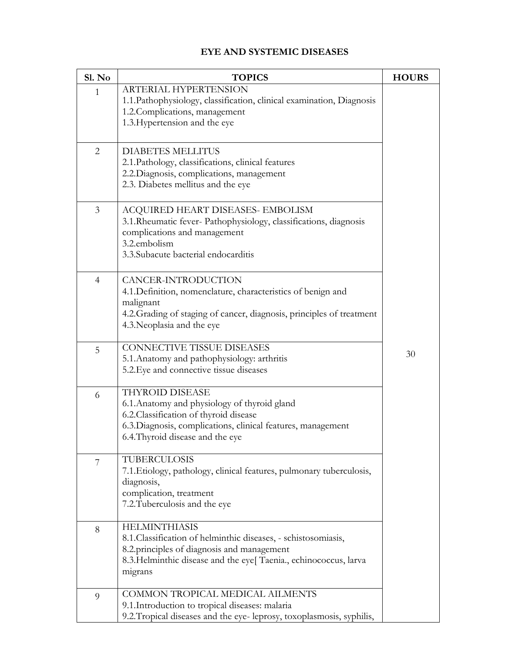## **EYE AND SYSTEMIC DISEASES**

| Sl. No         | <b>TOPICS</b>                                                                                                                                                                                                        | <b>HOURS</b> |
|----------------|----------------------------------------------------------------------------------------------------------------------------------------------------------------------------------------------------------------------|--------------|
| 1              | ARTERIAL HYPERTENSION<br>1.1. Pathophysiology, classification, clinical examination, Diagnosis<br>1.2. Complications, management<br>1.3. Hypertension and the eye                                                    |              |
| $\overline{2}$ | <b>DIABETES MELLITUS</b><br>2.1. Pathology, classifications, clinical features<br>2.2. Diagnosis, complications, management<br>2.3. Diabetes mellitus and the eye                                                    |              |
| 3              | ACQUIRED HEART DISEASES- EMBOLISM<br>3.1. Rheumatic fever- Pathophysiology, classifications, diagnosis<br>complications and management<br>3.2.embolism<br>3.3. Subacute bacterial endocarditis                       |              |
| $\overline{4}$ | CANCER-INTRODUCTION<br>4.1. Definition, nomenclature, characteristics of benign and<br>malignant<br>4.2. Grading of staging of cancer, diagnosis, principles of treatment<br>4.3. Neoplasia and the eye              |              |
| 5              | <b>CONNECTIVE TISSUE DISEASES</b><br>5.1. Anatomy and pathophysiology: arthritis<br>5.2. Eye and connective tissue diseases                                                                                          | 30           |
| 6              | THYROID DISEASE<br>6.1. Anatomy and physiology of thyroid gland<br>6.2. Classification of thyroid disease<br>6.3. Diagnosis, complications, clinical features, management<br>6.4. Thyroid disease and the eye        |              |
| 7              | TUBERCULOSIS<br>7.1. Etiology, pathology, clinical features, pulmonary tuberculosis,<br>diagnosis,<br>complication, treatment<br>7.2. Tuberculosis and the eye                                                       |              |
| 8              | <b>HELMINTHIASIS</b><br>8.1. Classification of helminthic diseases, - schistosomiasis,<br>8.2 principles of diagnosis and management<br>8.3. Helminthic disease and the eye[ Taenia., echinococcus, larva<br>migrans |              |
| 9              | COMMON TROPICAL MEDICAL AILMENTS<br>9.1. Introduction to tropical diseases: malaria<br>9.2. Tropical diseases and the eye-leprosy, toxoplasmosis, syphilis,                                                          |              |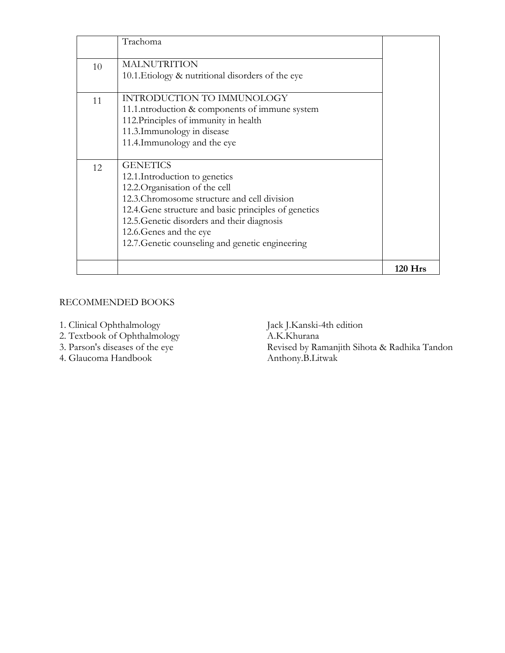|    | Trachoma                                                                                                                                                                                                                                                                                                                  |         |
|----|---------------------------------------------------------------------------------------------------------------------------------------------------------------------------------------------------------------------------------------------------------------------------------------------------------------------------|---------|
| 10 | <b>MALNUTRITION</b><br>10.1. Etiology & nutritional disorders of the eye                                                                                                                                                                                                                                                  |         |
| 11 | INTRODUCTION TO IMMUNOLOGY<br>11.1.ntroduction & components of immune system<br>112. Principles of immunity in health<br>11.3. Immunology in disease<br>11.4. Immunology and the eye                                                                                                                                      |         |
| 12 | <b>GENETICS</b><br>12.1.Introduction to genetics<br>12.2. Organisation of the cell<br>12.3. Chromosome structure and cell division<br>12.4. Gene structure and basic principles of genetics<br>12.5. Genetic disorders and their diagnosis<br>12.6. Genes and the eye<br>12.7. Genetic counseling and genetic engineering |         |
|    |                                                                                                                                                                                                                                                                                                                           | 120 Hrs |

- 1. Clinical Ophthalmology Jack J.Kanski-4th edition
- 2. Textbook of Ophthalmology A.K.Khurana
- 
- 4. Glaucoma Handbook

Revised by Ramanjith Sihota & Radhika Tandon<br>Anthony.B.Litwak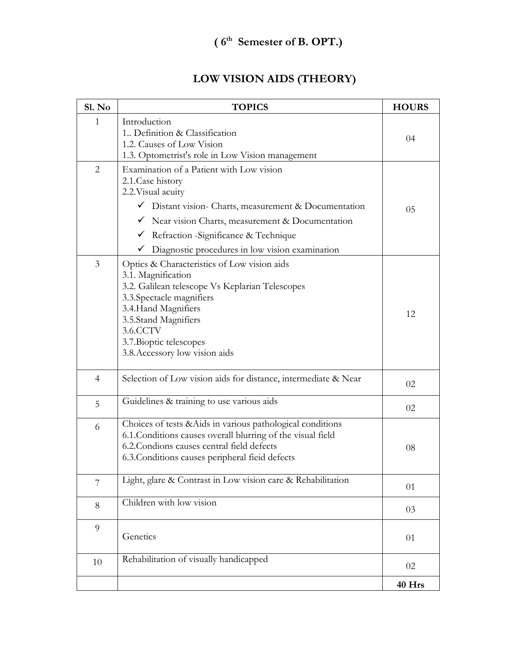## **LOW VISION AIDS (THEORY)**

| Sl. No         | <b>TOPICS</b>                                                                                                                                                                                                                                                                                                                           | <b>HOURS</b> |
|----------------|-----------------------------------------------------------------------------------------------------------------------------------------------------------------------------------------------------------------------------------------------------------------------------------------------------------------------------------------|--------------|
| 1              | Introduction<br>1. Definition & Classification<br>1.2. Causes of Low Vision<br>1.3. Optometrist's role in Low Vision management                                                                                                                                                                                                         | 04           |
| $\overline{2}$ | Examination of a Patient with Low vision<br>2.1. Case history<br>2.2. Visual acuity<br>$\checkmark$ Distant vision- Charts, measurement & Documentation<br>$\checkmark$ Near vision Charts, measurement & Documentation<br>Refraction -Significance & Technique<br>$\checkmark$<br>Diagnostic procedures in low vision examination<br>✓ | 05           |
| 3              | Optics & Characteristics of Low vision aids<br>3.1. Magnification<br>3.2. Galilean telescope Vs Keplarian Telescopes<br>3.3. Spectacle magnifiers<br>3.4. Hand Magnifiers<br>3.5.Stand Magnifiers<br>3.6.CCTV<br>3.7. Bioptic telescopes<br>3.8. Accessory low vision aids                                                              | 12           |
| $\overline{4}$ | Selection of Low vision aids for distance, intermediate & Near                                                                                                                                                                                                                                                                          | 02           |
| 5              | Guidelines & training to use various aids                                                                                                                                                                                                                                                                                               | 02           |
| 6              | Choices of tests & Aids in various pathological conditions<br>6.1. Conditions causes overall blurring of the visual field<br>6.2. Condions causes central field defects<br>6.3. Conditions causes peripheral field defects                                                                                                              | 08           |
| 7              | Light, glare & Contrast in Low vision care & Rehabilitation                                                                                                                                                                                                                                                                             | 01           |
| 8              | Children with low vision                                                                                                                                                                                                                                                                                                                | 03           |
| $\overline{9}$ | Genetics                                                                                                                                                                                                                                                                                                                                | 01           |
| 10             | Rehabilitation of visually handicapped                                                                                                                                                                                                                                                                                                  | 02           |
|                |                                                                                                                                                                                                                                                                                                                                         | 40 Hrs       |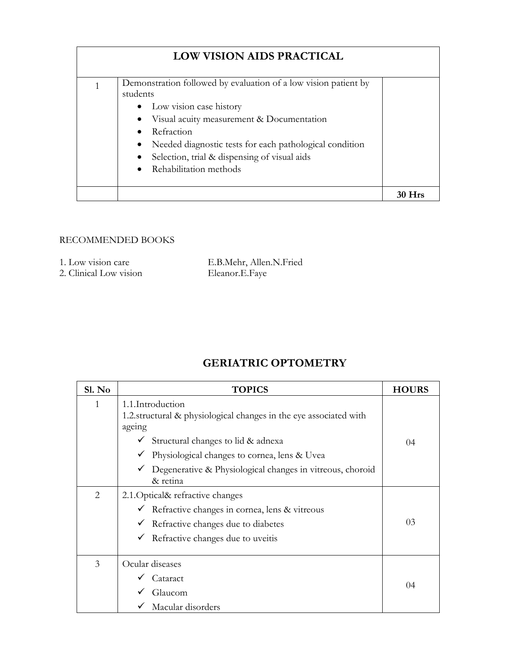| <b>LOW VISION AIDS PRACTICAL</b> |                                                                                                                                                                                                                                                                                                            |  |
|----------------------------------|------------------------------------------------------------------------------------------------------------------------------------------------------------------------------------------------------------------------------------------------------------------------------------------------------------|--|
| 1                                | Demonstration followed by evaluation of a low vision patient by<br>students<br>• Low vision case history<br>Visual acuity measurement & Documentation<br>Refraction<br>Needed diagnostic tests for each pathological condition<br>Selection, trial & dispensing of visual aids<br>• Rehabilitation methods |  |
|                                  |                                                                                                                                                                                                                                                                                                            |  |

| 1. Low vision care     | E.B.Mehr, Allen.N.Fried |
|------------------------|-------------------------|
| 2. Clinical Low vision | Eleanor.E.Faye          |

## **GERIATRIC OPTOMETRY**

| Sl. No | <b>TOPICS</b>                                                                                                                                                                                                                                                                         | <b>HOURS</b>   |
|--------|---------------------------------------------------------------------------------------------------------------------------------------------------------------------------------------------------------------------------------------------------------------------------------------|----------------|
| 1      | 1.1.Introduction<br>1.2. structural & physiological changes in the eye associated with<br>ageing<br>$\checkmark$ Structural changes to lid & adnexa<br>Physiological changes to cornea, lens & Uvea<br>✓<br>Degenerative & Physiological changes in vitreous, choroid<br>$\checkmark$ | 04             |
|        | & retina                                                                                                                                                                                                                                                                              |                |
| 2      | 2.1. Optical& refractive changes                                                                                                                                                                                                                                                      |                |
|        | $\checkmark$ Refractive changes in cornea, lens & vitreous                                                                                                                                                                                                                            |                |
|        | Refractive changes due to diabetes<br>$\checkmark$                                                                                                                                                                                                                                    | 0 <sub>3</sub> |
|        | Refractive changes due to uveit is<br>$\checkmark$                                                                                                                                                                                                                                    |                |
| 3      | Ocular diseases                                                                                                                                                                                                                                                                       |                |
|        | Cataract                                                                                                                                                                                                                                                                              | $^{04}$        |
|        | Glaucom                                                                                                                                                                                                                                                                               |                |
|        | Macular disorders                                                                                                                                                                                                                                                                     |                |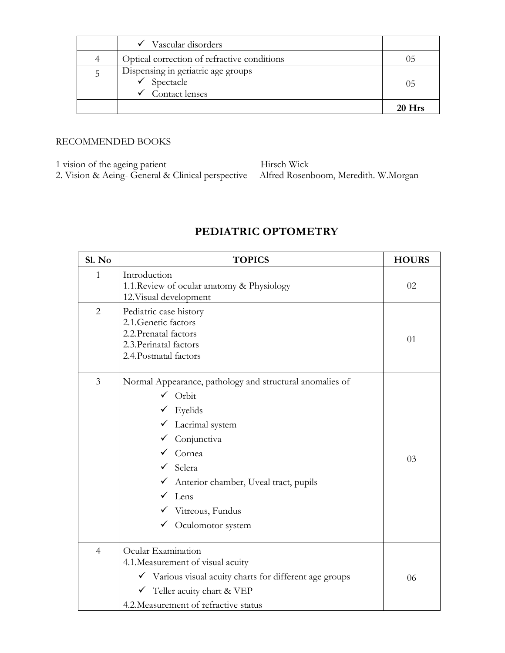|   | $\checkmark$ Vascular disorders                                                             |          |
|---|---------------------------------------------------------------------------------------------|----------|
| 4 | Optical correction of refractive conditions                                                 | ר ( 1    |
| 5 | Dispensing in geriatric age groups<br>$\checkmark$ Spectacle<br>$\checkmark$ Contact lenses | 05       |
|   |                                                                                             | $20$ Hrs |

1 vision of the ageing patient Hirsch Wick

2. Vision & Aeing- General & Clinical perspective Alfred Rosenboom, Meredith. W.Morgan

### **PEDIATRIC OPTOMETRY**

| Sl. No         | <b>TOPICS</b>                                                                                                                                                                                                                                                                                        | <b>HOURS</b> |
|----------------|------------------------------------------------------------------------------------------------------------------------------------------------------------------------------------------------------------------------------------------------------------------------------------------------------|--------------|
| 1              | Introduction<br>1.1. Review of ocular anatomy & Physiology<br>12. Visual development                                                                                                                                                                                                                 | 02           |
| $\overline{2}$ | Pediatric case history<br>2.1. Genetic factors<br>2.2. Prenatal factors<br>2.3. Perinatal factors<br>2.4. Postnatal factors                                                                                                                                                                          | 01           |
| 3              | Normal Appearance, pathology and structural anomalies of<br>$\checkmark$ Orbit<br>Eyelids<br>Lacrimal system<br>✓<br>Conjunctiva<br>$\checkmark$ Cornea<br>$\checkmark$ Sclera<br>√ Anterior chamber, Uveal tract, pupils<br>Lens<br>$\checkmark$ Vitreous, Fundus<br>$\checkmark$ Oculomotor system | 03           |
| $\overline{4}$ | Ocular Examination<br>4.1. Measurement of visual acuity<br>V Various visual acuity charts for different age groups<br>$\checkmark$ Teller acuity chart & VEP<br>4.2. Measurement of refractive status                                                                                                | 06           |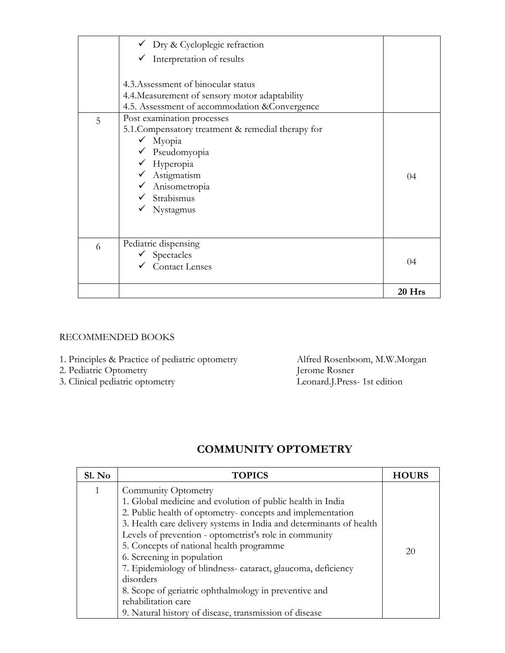- 
- 
- 3. Clinical pediatric optometry

1. Principles & Practice of pediatric optometry Alfred Rosenboom, M.W.Morgan 2. Pediatric Optometry Jerome Rosner 2. Pediatric Optometry<br>
3. Clinical pediatric optometry<br>
3. Clinical pediatric optometry<br>
Leonard J.Press- 1st edition

## **COMMUNITY OPTOMETRY**

| S1. No | <b>TOPICS</b>                                                                                                                                                                                                                                                                                                                                                                                                                                                                                   | <b>HOURS</b> |
|--------|-------------------------------------------------------------------------------------------------------------------------------------------------------------------------------------------------------------------------------------------------------------------------------------------------------------------------------------------------------------------------------------------------------------------------------------------------------------------------------------------------|--------------|
| 1      | Community Optometry<br>1. Global medicine and evolution of public health in India<br>2. Public health of optometry- concepts and implementation<br>3. Health care delivery systems in India and determinants of health<br>Levels of prevention - optometrist's role in community<br>5. Concepts of national health programme<br>6. Screening in population<br>7. Epidemiology of blindness-cataract, glaucoma, deficiency<br>disorders<br>8. Scope of geriatric ophthalmology in preventive and | 20           |
|        | rehabilitation care                                                                                                                                                                                                                                                                                                                                                                                                                                                                             |              |
|        | 9. Natural history of disease, transmission of disease                                                                                                                                                                                                                                                                                                                                                                                                                                          |              |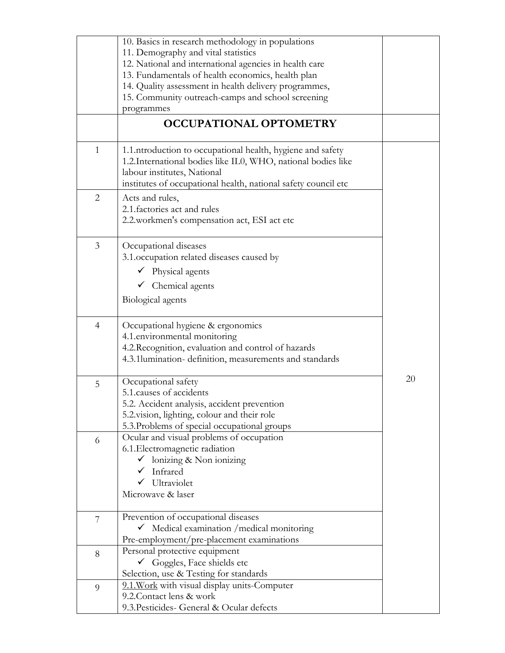|                | 10. Basics in research methodology in populations              |    |
|----------------|----------------------------------------------------------------|----|
|                | 11. Demography and vital statistics                            |    |
|                | 12. National and international agencies in health care         |    |
|                |                                                                |    |
|                | 13. Fundamentals of health economics, health plan              |    |
|                | 14. Quality assessment in health delivery programmes,          |    |
|                | 15. Community outreach-camps and school screening              |    |
|                | programmes                                                     |    |
|                |                                                                |    |
|                | <b>OCCUPATIONAL OPTOMETRY</b>                                  |    |
|                |                                                                |    |
| $\mathbf{1}$   | 1.1. ntroduction to occupational health, hygiene and safety    |    |
|                | 1.2. International bodies like IL0, WHO, national bodies like  |    |
|                | labour institutes, National                                    |    |
|                |                                                                |    |
|                | institutes of occupational health, national safety council etc |    |
| $\overline{2}$ | Acts and rules,                                                |    |
|                | 2.1. factories act and rules                                   |    |
|                | 2.2. workmen's compensation act, ESI act etc                   |    |
|                |                                                                |    |
| 3              |                                                                |    |
|                | Occupational diseases                                          |    |
|                | 3.1. occupation related diseases caused by                     |    |
|                | $\checkmark$ Physical agents                                   |    |
|                | $\checkmark$ Chemical agents                                   |    |
|                |                                                                |    |
|                | Biological agents                                              |    |
|                |                                                                |    |
| $\overline{4}$ | Occupational hygiene & ergonomics                              |    |
|                | 4.1.environmental monitoring                                   |    |
|                | 4.2. Recognition, evaluation and control of hazards            |    |
|                | 4.3.1lumination-definition, measurements and standards         |    |
|                |                                                                |    |
| 5              | Occupational safety                                            | 20 |
|                | 5.1. causes of accidents                                       |    |
|                | 5.2. Accident analysis, accident prevention                    |    |
|                |                                                                |    |
|                | 5.2 vision, lighting, colour and their role                    |    |
|                | 5.3. Problems of special occupational groups                   |    |
| 6              | Ocular and visual problems of occupation                       |    |
|                | 6.1. Electromagnetic radiation                                 |    |
|                | $\checkmark$ lonizing & Non ionizing                           |    |
|                | Infrared                                                       |    |
|                |                                                                |    |
|                | Ultraviolet                                                    |    |
|                | Microwave & laser                                              |    |
|                |                                                                |    |
| 7              | Prevention of occupational diseases                            |    |
|                | Medical examination / medical monitoring<br>$\checkmark$       |    |
|                | Pre-employment/pre-placement examinations                      |    |
| 8              | Personal protective equipment                                  |    |
|                | $\checkmark$ Goggles, Face shields etc                         |    |
|                | Selection, use & Testing for standards                         |    |
|                | 9.1. Work with visual display units-Computer                   |    |
| 9              | 9.2. Contact lens & work                                       |    |
|                |                                                                |    |
|                | 9.3. Pesticides- General & Ocular defects                      |    |